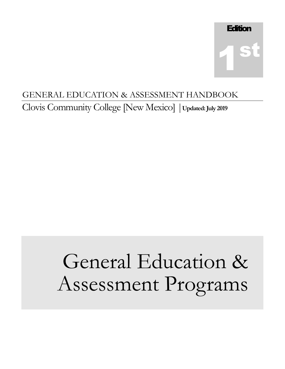# GENERAL EDUCATION & ASSESSMENT HANDBOOK

Clovis Community College [New Mexico] |**Updated:July 2019**

# General Education & Assessment Programs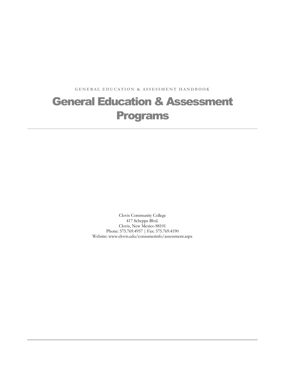GENERAL EDUCATION & ASSESSMENT HANDBOOK

# General Education & Assessment Programs

Clovis Community College 417 Schepps Blvd. Clovis, New Mexico 88101 Phone: 575.769.4957 | Fax: 575.769.4190 Website: www.clovis.edu/consumerinfo/assessment.aspx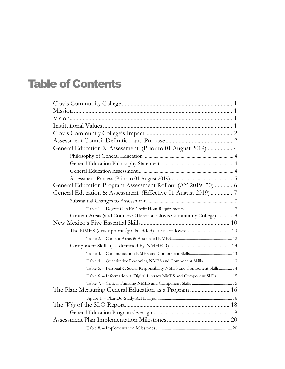# Table of Contents

| General Education & Assessment (Prior to 01 August 2019) 4               |  |
|--------------------------------------------------------------------------|--|
|                                                                          |  |
|                                                                          |  |
|                                                                          |  |
|                                                                          |  |
| General Education Program Assessment Rollout (AY 2019-20) 6              |  |
| General Education & Assessment (Effective 01 August 2019) 7              |  |
|                                                                          |  |
|                                                                          |  |
| Content Areas (and Courses Offered at Clovis Community College) 8        |  |
|                                                                          |  |
|                                                                          |  |
|                                                                          |  |
|                                                                          |  |
|                                                                          |  |
| Table 4. - Quantitative Reasoning NMES and Component Skills 13           |  |
| Table 5. - Personal & Social Responsibility NMES and Component Skills 14 |  |
| Table 6. - Information & Digital Literacy NMES and Component Skills  15  |  |
|                                                                          |  |
|                                                                          |  |
|                                                                          |  |
|                                                                          |  |
|                                                                          |  |
|                                                                          |  |
|                                                                          |  |
|                                                                          |  |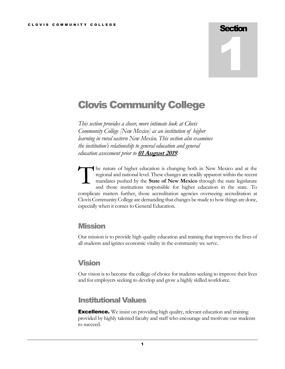# **Section** 1

# <span id="page-4-0"></span>Clovis Community College

*This section provides a closer, more intimate look at Clovis Community College [New Mexico] as an institution of higher learning in rural eastern New Mexico. This section also examines the institution's relationship to general education and general education assessment prior to* **01 August 2019***.* 

he nature of higher education is changing both in New Mexico and at the regional and national level. These changes are readily apparent within the recent mandates pushed by the **State of New Mexico** through the state legislature and those institutions responsible for higher education in the state. To complicate matters further, those accreditation agencies overseeing accreditation at Clovis Community College are demanding that changes be made to how things are done, especially when it comes to General Education. T

#### <span id="page-4-1"></span>**Mission**

Our mission is to provide high quality education and training that improves the lives of all students and ignites economic vitality in the community we serve.

#### <span id="page-4-2"></span>Vision

Our vision is to become the college of choice for students seeking to improve their lives and for employers seeking to develop and grow a highly skilled workforce.

#### <span id="page-4-3"></span>Institutional Values

**Excellence.** We insist on providing high quality, relevant education and training provided by highly talented faculty and staff who encourage and motivate our students to succeed.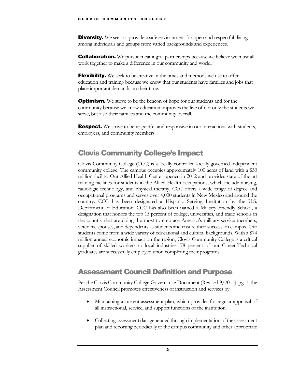**Diversity.** We seek to provide a safe environment for open and respectful dialog among individuals and groups from varied backgrounds and experiences.

**Collaboration.** We pursue meaningful partnerships because we believe we must all work together to make a difference in our community and world.

**Flexibility.** We seek to be creative in the times and methods we use to offer education and training because we know that our students have families and jobs that place important demands on their time.

**Optimism.** We strive to be the beacon of hope for our students and for the community because we know education improves the live of not only the students we serve, but also their families and the community overall.

**Respect.** We strive to be respectful and responsive in our interactions with students, employers, and community members.

## <span id="page-5-0"></span>Clovis Community College's Impact

Clovis Community College (CCC) is a locally controlled locally governed independent community college. The campus occupies approximately 100 acres of land with a \$30 million facility. Our Allied Health Center opened in 2012 and provides state-of-the-art training facilities for students in the Allied Health occupations, which include nursing, radiologic technology, and physical therapy. CCC offers a wide range of degree and occupational programs and serves over 4,000 students in New Mexico and around the country. CCC has been designated a Hispanic Serving Institution by the U.S. Department of Education. CCC has also been named a Military Friendly School, a designation that honors the top 15 percent of college, universities, and trade schools in the country that are doing the most to embrace America's military service members, veterans, spouses, and dependents as students and ensure their success on campus. Our students come from a wide variety of educational and cultural backgrounds. With a \$74 million annual economic impact on the region, Clovis Community College is a critical supplier of skilled workers to local industries. 78 percent of our Career-Technical graduates are successfully employed upon completing their programs.

## <span id="page-5-1"></span>Assessment Council Definition and Purpose

Per the Clovis Community College Governance Document (Revised 9/2015), pg. 7, the Assessment Council promotes effectiveness of instruction and services by:

- Maintaining a current assessment plan, which provides for regular appraisal of all instructional, service, and support functions of the institution.
- Collecting assessment data generated through implementation of the assessment plan and reporting periodically to the campus community and other appropriate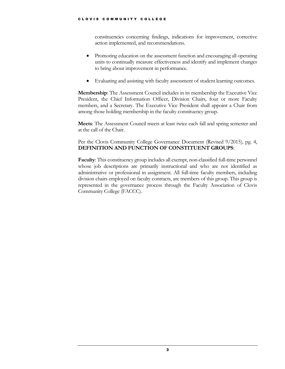constituencies concerning findings, indications for improvement, corrective action implemented, and recommendations.

- Promoting education on the assessment function and encouraging all operating units to continually measure effectiveness and identify and implement changes to bring about improvement in performance.
- Evaluating and assisting with faculty assessment of student learning outcomes.

**Membership**: The Assessment Council includes in its membership the Executive Vice President, the Chief Information Officer, Division Chairs, four or more Faculty members, and a Secretary. The Executive Vice President shall appoint a Chair from among those holding membership in the faculty constituency group.

**Meets**: The Assessment Council meets at least twice each fall and spring semester and at the call of the Chair.

Per the Clovis Community College Governance Document (Revised 9/2015), pg. 4, **DEFINITION AND FUNCTION OF CONSTITUENT GROUPS**:

**Faculty**: This constituency group includes all exempt, non-classified full-time personnel whose job descriptions are primarily instructional and who are not identified as administrative or professional in assignment. All full-time faculty members, including division chairs employed on faculty contracts, are members of this group. This group is represented in the governance process through the Faculty Association of Clovis Community College (FACCC).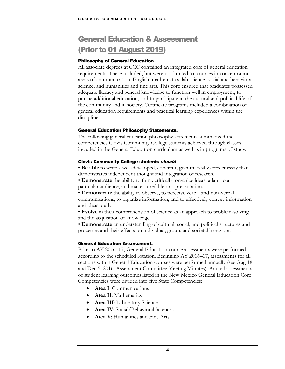# <span id="page-7-0"></span>General Education & Assessment (Prior to 01 August 2019)

#### <span id="page-7-1"></span>Philosophy of General Education.

All associate degrees at CCC contained an integrated core of general education requirements. These included, but were not limited to, courses in concentration areas of communication, English, mathematics, lab science, social and behavioral science, and humanities and fine arts. This core ensured that graduates possessed adequate literacy and general knowledge to function well in employment, to pursue additional education, and to participate in the cultural and political life of the community and in society. Certificate programs included a combination of general education requirements and practical learning experiences within the discipline.

#### <span id="page-7-2"></span>General Education Philosophy Statements.

The following general education philosophy statements summarized the competencies Clovis Community College students achieved through classes included in the General Education curriculum as well as in programs of study.

#### Clovis Community College students should

• **Be able** to write a well-developed, coherent, grammatically correct essay that demonstrates independent thought and integration of research.

• **Demonstrate** the ability to think critically, organize ideas, adapt to a particular audience, and make a credible oral presentation.

• **Demonstrate** the ability to observe, to perceive verbal and non-verbal communications, to organize information, and to effectively convey information and ideas orally.

• **Evolve** in their comprehension of science as an approach to problem-solving and the acquisition of knowledge.

• **Demonstrate** an understanding of cultural, social, and political structures and processes and their effects on individual, group, and societal behaviors.

#### <span id="page-7-3"></span>General Education Assessment.

Prior to AY 2016–17, General Education course assessments were performed according to the scheduled rotation. Beginning AY 2016–17, assessments for all sections within General Education courses were performed annually (see Aug 18 and Dec 5, 2016, Assessment Committee Meeting Minutes). Annual assessments of student learning outcomes listed in the New Mexico General Education Core Competencies were divided into five State Competencies:

- **Area I**: Communications
- **Area II**: Mathematics
- **Area III**: Laboratory Science
- **Area IV**: Social/Behavioral Sciences
- **Area V**: Humanities and Fine Arts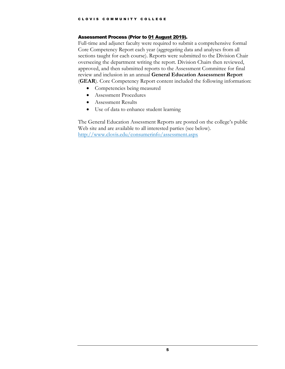#### <span id="page-8-0"></span>Assessment Process (Prior to 01 August 2019).

Full-time and adjunct faculty were required to submit a comprehensive formal Core Competency Report each year (aggregating data and analyses from all sections taught for each course). Reports were submitted to the Division Chair overseeing the department writing the report. Division Chairs then reviewed, approved, and then submitted reports to the Assessment Committee for final review and inclusion in an annual **General Education Assessment Report** (**GEAR**). Core Competency Report content included the following information:

- Competencies being measured
- Assessment Procedures
- Assessment Results
- Use of data to enhance student learning

The General Education Assessment Reports are posted on the college's public Web site and are available to all interested parties (see below). <http://www.clovis.edu/consumerinfo/assessment.aspx>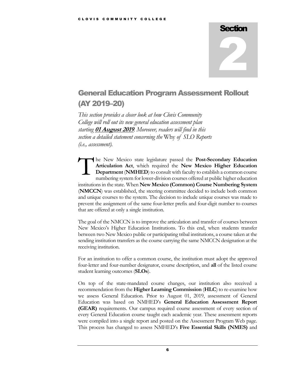# **Section** 2

# <span id="page-9-0"></span>General Education Program Assessment Rollout (AY 2019–20)

*This section provides a closer look at how Clovis Community College will roll out its new general education assessment plan starting* **01 August 2019***. Moreover, readers will find in this section a detailed statement concerning the* Why *of SLO Reports (i.e., assessment).*

he New Mexico state legislature passed the **Post-Secondary Education Articulation Act**, which required the **New Mexico Higher Education Department** (**NMHED**) to consult with faculty to establish a common course numbering system for lower-division courses offered at public higher education institutions in the state. When **New Mexico (Common) Course Numbering System** (**NMCCN**) was established, the steering committee decided to include both common and unique courses to the system. The decision to include unique courses was made to prevent the assignment of the same four-letter prefix and four-digit number to courses that are offered at only a single institution. T

The goal of the NMCCN is to improve the articulation and transfer of courses between New Mexico's Higher Education Institutions. To this end, when students transfer between two New Mexico public or participating tribal institutions, a course taken at the sending institution transfers as the course carrying the same NMCCN designation at the receiving institution.

For an institution to offer a common course, the institution must adopt the approved four-letter and four-number designator, course description, and **all** of the listed course student learning outcomes (**SLOs**).

On top of the state-mandated course changes, our institution also received a recommendation from the **Higher Learning Commission** (**HLC**) to re-examine how we assess General Education. Prior to August 01, 2019, assessment of General Education was based on NMHED's **General Education Assessment Report (GEAR)** requirements. Our campus required course assessment of every section of every General Education course taught each academic year. These assessment reports were compiled into a single report and posted on the Assessment Program Web page. This process has changed to assess NMHED's **Five Essential Skills (NMES)** and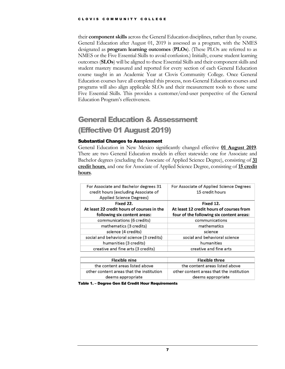their **component skills** across the General Education disciplines, rather than by course. General Education after August 01, 2019 is assessed as a program, with the NMES designated as **program learning outcomes** (**PLOs**). (These PLOs are referred to as NMES or the Five Essential Skills to avoid confusion.) Initially, course student learning outcomes (**SLOs**) will be aligned to these Essential Skills and their component skills and student mastery measured and reported for every section of each General Education course taught in an Academic Year at Clovis Community College. Once General Education courses have all completed this process, non-General Education courses and programs will also align applicable SLOs and their measurement tools to those same Five Essential Skills. This provides a customer/end-user perspective of the General Education Program's effectiveness.

## <span id="page-10-0"></span>General Education & Assessment (Effective 01 August 2019)

#### <span id="page-10-1"></span>Substantial Changes to Assessment

General Education in New Mexico significantly changed effective **01 August 2019**. There are two General Education models in effect statewide: one for Associate and Bachelor degrees (excluding the Associate of Applied Science Degree), consisting of **31 credit hours**, and one for Associate of Applied Science Degree, consisting of **15 credit hours**.

| For Associate and Bachelor degrees 31<br>credit hours (excluding Associate of<br>Applied Science Degrees) | For Associate of Applied Science Degrees<br>15 credit hours                                       |
|-----------------------------------------------------------------------------------------------------------|---------------------------------------------------------------------------------------------------|
| Fixed 22.<br>At least 22 credit hours of courses in the<br>following six content areas:                   | Fixed 12.<br>At least 12 credit hours of courses from<br>four of the following six content areas: |
| communications (6 credits)                                                                                | communications                                                                                    |
| mathematics (3 credits)                                                                                   | mathematics                                                                                       |
| science (4 credits)                                                                                       | science                                                                                           |
| social and behavioral science (3 credits)                                                                 | social and behavioral science                                                                     |
| humanities (3 credits)                                                                                    | humanities                                                                                        |
| creative and fine arts (3 credits)                                                                        | creative and fine arts                                                                            |

| <b>Flexible nine</b>                                          | <b>Flexible three</b>                                         |
|---------------------------------------------------------------|---------------------------------------------------------------|
| the content areas listed above                                | the content areas listed above                                |
| other content areas that the institution<br>deems appropriate | other content areas that the institution<br>deems appropriate |

<span id="page-10-2"></span>Table 1. – Degree Gen Ed Credit Hour Requirements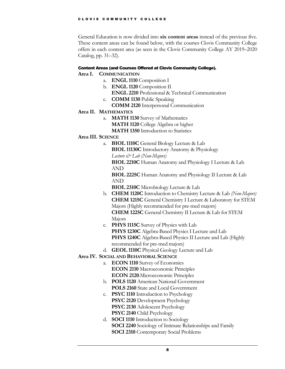General Education is now divided into **six content areas** instead of the previous five. These content areas can be found below, with the courses Clovis Community College offers in each content area (as seen in the Clovis Community College AY 2019–2020 Catalog, pp. 31–32).

#### <span id="page-11-0"></span>Content Areas (and Courses Offered at Clovis Community College).

#### **Area I. COMMUNICATION**

- a. **ENGL 1110** Composition I
- b. **ENGL 1120** Composition II
	- **ENGL 2210** Professional & Technical Communication
- c. **COMM 1130** Public Speaking **COMM 2120** Interpersonal Communication
- **Area II. MATHEMATICS**
	- a. **MATH 1130** Survey of Mathematics **MATH 1120** College Algebra or higher
		- **MATH 1350** Introduction to Statistics
- **Area III. SCIENCE**
	- a. **BIOL 1110C** General Biology Lecture & Lab **BIOL 11130C** Introductory Anatomy & Physiology *Lecture & Lab (Non-Majors)* **BIOL 2210C** Human Anatomy and Physiology I Lecture & Lab AND

**BIOL 2225C** Human Anatomy and Physiology II Lecture & Lab AND

- **BIOL 2310C** Microbiology Lecture & Lab
- b. **CHEM 1120C** Introduction to Chemistry Lecture & Lab *(Non-Majors)* **CHEM 1215C** General Chemistry I Lecture & Laboratory for STEM Majors (Highly recommended for pre-med majors) **CHEM 1225C** General Chemistry II Lecture & Lab for STEM Majors
- c. **PHYS 1115C** Survey of Physics with Lab **PHYS 1230C** Algebra-Based Physics I Lecture and Lab **PHYS 1240C** Algebra-Based Physics II Lecture and Lab (Highly recommended for pre-med majors)
- d. **GEOL 1110C** Physical Geology Lecture and Lab
- **Area IV. SOCIAL AND BEHAVIORAL SCIENCE**
	- a. **ECON 1110** Survey of Economics **ECON 2110** Macroeconomic Principles **ECON 2120**.Microeconomic Principles
	- b. **POLS 1120** American National Government **POLS 2160** State and Local Government
	- c. **PSYC 1110** Introduction to Psychology **PSYC 2120** Development Psychology **PSYC 2130** Adolescent Psychology **PSYC 2140** Child Psychology
	- d. **SOCI 1110** Introduction to Sociology **SOCI 2240** Sociology of Intimate Relationships and Family **SOCI 2310** Contemporary Social Problems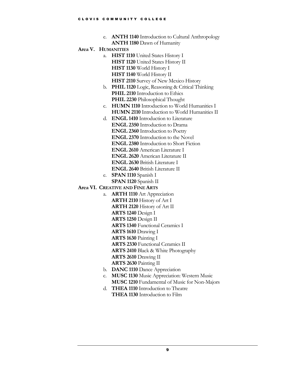- e. **ANTH 1140** Introduction to Cultural Anthropology **ANTH 1180** Dawn of Humanity
- **Area V. HUMANITIES**
	- a. **HIST 1110** United States History I **HIST 1120** United States History II **HIST 1130** World History I **HIST 1140** World History II **HIST 2110** Survey of New Mexico History
	- b. **PHIL 1120** Logic, Reasoning & Critical Thinking **PHIL 2110** Introduction to Ethics **PHIL 2230** Philosophical Thought
	- c. **HUMN 1110** Introduction to World Humanities I **HUMN 2110** Introduction to World Humanities II
	- d. **ENGL 1410** Introduction to Literature **ENGL 2350** Introduction to Drama **ENGL 2360** Introduction to Poetry **ENGL 2370** Introduction to the Novel **ENGL 2380** Introduction to Short Fiction **ENGL 2610** American Literature I **ENGL 2620** American Literature II
		- **ENGL 2630** British Literature I
		- **ENGL 2640** British Literature II
	- e. **SPAN 1110** Spanish I **SPAN 1120** Spanish II

#### **Area VI. CREATIVE AND FINE ARTS**

- a. **ARTH 1110** Art Appreciation **ARTH 2110** History of Art I **ARTH 2120** History of Art II **ARTS 1240** Design I **ARTS 1250** Design II **ARTS 1340** Functional Ceramics I **ARTS 1610** Drawing I **ARTS 1630** Painting I **ARTS 2330** Functional Ceramics II **ARTS 2410** Black & White Photography **ARTS 2610** Drawing II **ARTS 2630** Painting II b. **DANC 1110** Dance Appreciation
- c. **MUSC 1130** Music Appreciation: Western Music **MUSC 1210** Fundamental of Music for Non-Majors
- d. **THEA 1110** Introduction to Theatre
	- **THEA 1130** Introduction to Film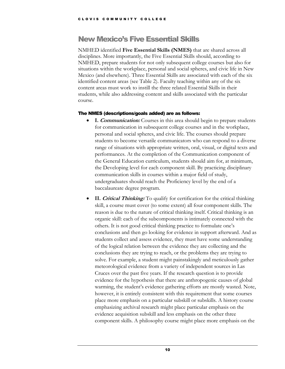### <span id="page-13-0"></span>New Mexico's Five Essential Skills

NMHED identified **Five Essential Skills (NMES)** that are shared across all disciplines. More importantly, the Five Essential Skills should, according to NMHED, prepare students for not only subsequent college courses but also for situations within the workplace, personal and social spheres, and civic life in New Mexico (and elsewhere). Three Essential Skills are associated with each of the six identified content areas (see Table 2). Faculty teaching within any of the six content areas must work to instill the three related Essential Skills in their students, while also addressing content and skills associated with the particular course.

#### <span id="page-13-1"></span>The NMES (descriptions/goals added) are as follows:

- **I. Communication:** Courses in this area should begin to prepare students for communication in subsequent college courses and in the workplace, personal and social spheres, and civic life. The courses should prepare students to become versatile communicators who can respond to a diverse range of situations with appropriate written, oral, visual, or digital texts and performances. At the completion of the Communication component of the General Education curriculum, students should aim for, at minimum, the Developing level for each component skill. By practicing disciplinary communication skills in courses within a major field of study, undergraduates should reach the Proficiency level by the end of a baccalaureate degree program.
- **II. Critical Thinking:** To qualify for certification for the critical thinking skill, a course must cover (to some extent) all four component skills. The reason is due to the nature of critical thinking itself. Critical thinking is an organic skill: each of the subcomponents is intimately connected with the others. It is not good critical thinking practice to formulate one's conclusions and then go looking for evidence in support afterward. And as students collect and assess evidence, they must have some understanding of the logical relation between the evidence they are collecting and the conclusions they are trying to reach, or the problems they are trying to solve. For example, a student might painstakingly and meticulously gather meteorological evidence from a variety of independent sources in Las Cruces over the past five years. If the research question is to provide evidence for the hypothesis that there are anthropogenic causes of global warming, the student's evidence gathering efforts are mostly wasted. Note, however, it is entirely consistent with this requirement that some courses place more emphasis on a particular subskill or subskills. A history course emphasizing archival research might place particular emphasis on the evidence acquisition subskill and less emphasis on the other three component skills. A philosophy course might place more emphasis on the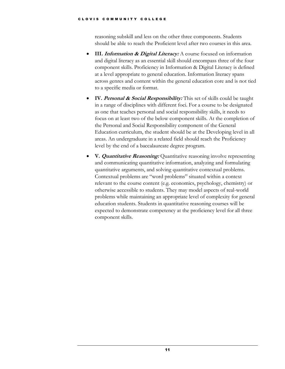reasoning subskill and less on the other three components. Students should be able to reach the Proficient level after two courses in this area.

- **III.** *Information & Digital Literacy:* A course focused on information and digital literacy as an essential skill should encompass three of the four component skills. Proficiency in Information & Digital Literacy is defined at a level appropriate to general education. Information literacy spans across genres and content within the general education core and is not tied to a specific media or format.
- **IV. Personal & Social Responsibility:** This set of skills could be taught in a range of disciplines with different foci. For a course to be designated as one that teaches personal and social responsibility skills, it needs to focus on at least two of the below component skills. At the completion of the Personal and Social Responsibility component of the General Education curriculum, the student should be at the Developing level in all areas. An undergraduate in a related field should reach the Proficiency level by the end of a baccalaureate degree program.
- **V. Quantitative Reasoning:** Quantitative reasoning involve representing and communicating quantitative information, analyzing and formulating quantitative arguments, and solving quantitative contextual problems. Contextual problems are "word problems" situated within a context relevant to the course content (e.g. economics, psychology, chemistry) or otherwise accessible to students. They may model aspects of real-world problems while maintaining an appropriate level of complexity for general education students. Students in quantitative reasoning courses will be expected to demonstrate competency at the proficiency level for all three component skills.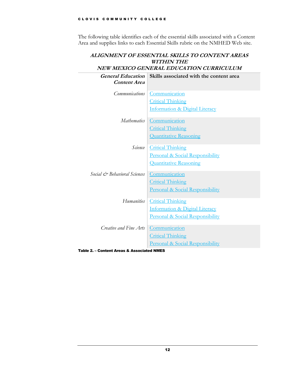The following table identifies each of the essential skills associated with a Content Area and supplies links to each Essential Skills rubric on the NMHED Web site.

|                              | ALIGNMENT OF ESSENTIAL SKILLS TO CONTENT AREAS<br><b>WITHIN THE</b> |
|------------------------------|---------------------------------------------------------------------|
|                              | NEW MEXICO GENERAL EDUCATION CURRICULUM                             |
| <b>General Education</b>     | Skills associated with the content area                             |
| Content Area                 |                                                                     |
| <b>Communications</b>        | Communication                                                       |
|                              | <b>Critical Thinking</b>                                            |
|                              | Information & Digital Literacy                                      |
| <i>Mathematics</i>           | Communication                                                       |
|                              | <b>Critical Thinking</b>                                            |
|                              | <b>Quantitative Reasoning</b>                                       |
| Science                      | <b>Critical Thinking</b>                                            |
|                              | Personal & Social Responsibility                                    |
|                              | <b>Quantitative Reasoning</b>                                       |
| Social & Behavioral Sciences | Communication                                                       |
|                              | <b>Critical Thinking</b>                                            |
|                              | Personal & Social Responsibility                                    |
| <i>Humanities</i>            | <b>Critical Thinking</b>                                            |
|                              | Information & Digital Literacy                                      |
|                              | Personal & Social Responsibility                                    |
| Creative and Fine Arts       | Communication                                                       |
|                              | <b>Critical Thinking</b>                                            |
|                              | Personal & Social Responsibility                                    |

<span id="page-15-0"></span>Table 2. – Content Areas & Associated NMES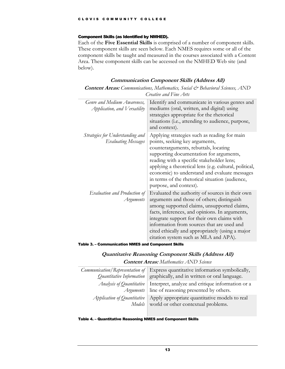#### <span id="page-16-0"></span>Component Skills (as Identified by NMHED).

Each of the **Five Essential Skills** is comprised of a number of component skills. These component skills are seen below. Each NMES requires some or all of the component skills be taught and measured in the courses associated with a Content Area. These component skills can be accessed on the NMHED Web site (and below).

#### **Communication Component Skills (Address All)**

| <b>Content Areas:</b> Communications, Mathematics, Social & Behavioral Sciences, AND |  |
|--------------------------------------------------------------------------------------|--|
| <i>Creative and Fine Arts</i>                                                        |  |

| Genre and Medium Awareness,<br>Application, and Versatility    | Identify and communicate in various genres and<br>mediums (oral, written, and digital) using<br>strategies appropriate for the rhetorical<br>situations (i.e., attending to audience, purpose,<br>and context).                                                                                                                                                                                         |  |
|----------------------------------------------------------------|---------------------------------------------------------------------------------------------------------------------------------------------------------------------------------------------------------------------------------------------------------------------------------------------------------------------------------------------------------------------------------------------------------|--|
| Strategies for Understanding and<br><b>Evaluating Messages</b> | Applying strategies such as reading for main<br>points, seeking key arguments,<br>counterarguments, rebuttals, locating<br>supporting documentation for arguments,<br>reading with a specific stakeholder lens;<br>applying a theoretical lens (e.g. cultural, political,<br>economic) to understand and evaluate messages<br>in terms of the rhetorical situation (audience,<br>purpose, and context). |  |
| Evaluation and Production of<br>Arguments                      | Evaluated the authority of sources in their own<br>arguments and those of others; distinguish<br>among supported claims, unsupported claims,<br>facts, inferences, and opinions. In arguments,<br>integrate support for their own claims with<br>information from sources that are used and<br>cited ethically and appropriately (using a major<br>citation system such as MLA and APA).                |  |

#### <span id="page-16-1"></span>Table 3. – Communication NMES and Component Skills

#### **Quantitative Reasoning Component Skills (Address All)**

**Content Areas:** *Mathematics AND Science*

|                                 | Communication/Representation of Express quantitative information symbolically,<br><i>Quantitative Information</i>   graphically, and in written or oral language. |
|---------------------------------|-------------------------------------------------------------------------------------------------------------------------------------------------------------------|
| <i>Analysis of Quantitative</i> | Interpret, analyze and critique information or a<br><i>Arguments</i>   line of reasoning presented by others.                                                     |
| Application of Quantitative     | Apply appropriate quantitative models to real<br>Models world or other contextual problems.                                                                       |

#### <span id="page-16-2"></span>Table 4. – Quantitative Reasoning NMES and Component Skills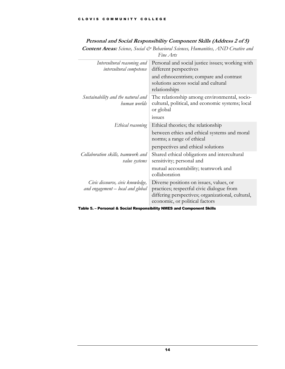#### **Personal and Social Responsibility Component Skills (Address 2 of 5)**

**Content Areas:** *Science, Social & Behavioral Sciences, Humanities, AND Creative and Fine Arts*

| Intercultural reasoning and<br>intercultural competence                | Personal and social justice issues; working with<br>different perspectives                                                                                                  |
|------------------------------------------------------------------------|-----------------------------------------------------------------------------------------------------------------------------------------------------------------------------|
|                                                                        | and ethnocentrism; compare and contrast<br>solutions across social and cultural<br>relationships                                                                            |
| Sustainability and the natural and<br>human worlds                     | The relationship among environmental, socio-<br>cultural, political, and economic systems; local<br>or global                                                               |
|                                                                        | issues                                                                                                                                                                      |
| Ethical reasoning                                                      | Ethical theories; the relationship                                                                                                                                          |
|                                                                        | between ethics and ethical systems and moral<br>norms; a range of ethical                                                                                                   |
|                                                                        | perspectives and ethical solutions                                                                                                                                          |
| Collaboration skills, teamwork and<br>value systems                    | Shared ethical obligations and intercultural<br>sensitivity; personal and                                                                                                   |
|                                                                        | mutual accountability; teamwork and<br>collaboration                                                                                                                        |
| Civic discourse, civic knowledge,<br>and engagement - local and global | Diverse positions on issues, values, or<br>practices; respectful civic dialogue from<br>differing perspectives; organizational, cultural,<br>economic, or political factors |
|                                                                        |                                                                                                                                                                             |

<span id="page-17-0"></span>Table 5. – Personal & Social Responsibility NMES and Component Skills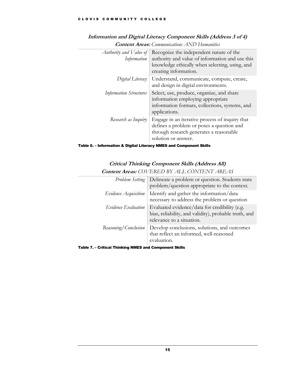| Authority and Value of<br>Information | Recognize the independent nature of the<br>authority and value of information and use this<br>knowledge ethically when selecting, using, and<br>creating information. |
|---------------------------------------|-----------------------------------------------------------------------------------------------------------------------------------------------------------------------|
| Digital Literacy                      | Understand, communicate, compute, create,<br>and design in digital environments.                                                                                      |
| <b>Information Structures</b>         | Select, use, produce, organize, and share<br>information employing appropriate<br>information formats, collections, systems, and<br>applications.                     |
| Research as Inquiry                   | Engage in an iterative process of inquiry that<br>defines a problem or poses a question and<br>through research generates a reasonable<br>solution or answer.         |

#### **Information and Digital Literacy Component Skills (Address 3 of 4)**

**Content Areas:** *Communications AND Humanities*

<span id="page-18-0"></span>

|  | Table 6. – Information & Digital Literacy NMES and Component Skills |  |
|--|---------------------------------------------------------------------|--|
|--|---------------------------------------------------------------------|--|

#### **Critical Thinking Component Skills (Address All) Content Areas:** *COVERED BY ALL CONTENT AREAS*

| $\sim$                      |                                                                                                                                     |  |
|-----------------------------|-------------------------------------------------------------------------------------------------------------------------------------|--|
|                             | <i>Problem Setting</i>   Delineate a problem or question. Students state<br>problem/question appropriate to the context.            |  |
| <i>Evidence Acquisition</i> | Identify and gather the information/data<br>necessary to address the problem or question                                            |  |
| Evidence Evaluation         | Evaluated evidence/data for credibility (e.g.<br>bias, reliability, and validity), probable truth, and<br>relevance to a situation. |  |
| Reasoning/Conclusion        | Develop conclusions, solutions, and outcomes<br>that reflect an informed, well-reasoned<br>evaluation.                              |  |

<span id="page-18-1"></span>Table 7. – Critical Thinking NMES and Component Skills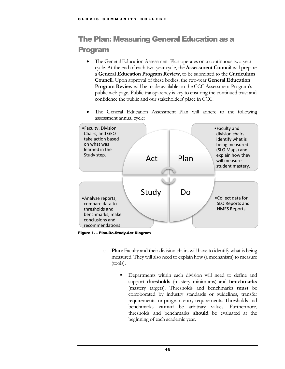# <span id="page-19-0"></span>The Plan: Measuring General Education as a Program

- The General Education Assessment Plan operates on a continuous two-year cycle. At the end of each two-year cycle, the **Assessment Council** will prepare a **General Education Program Review**, to be submitted to the **Curriculum Council**. Upon approval of these bodies, the two-year **General Education Program Review** will be made available on the CCC Assessment Program's public web page. Public transparency is key to ensuring the continued trust and confidence the public and our stakeholders' place in CCC.
- The General Education Assessment Plan will adhere to the following assessment annual cycle:



<span id="page-19-1"></span>Figure 1. – Plan-Do-Study-Act Diagram

- o **Plan**: Faculty and their division chairs will have to identify what is being measured. They will also need to explain how (a mechanism) to measure (tools).
	- Departments within each division will need to define and support **thresholds** (mastery minimums) and **benchmarks** (mastery targets). Thresholds and benchmarks **must** be corroborated by industry standards or guidelines, transfer requirements, or program entry requirements. Thresholds and benchmarks **cannot** be arbitrary values. Furthermore, thresholds and benchmarks **should** be evaluated at the beginning of each academic year.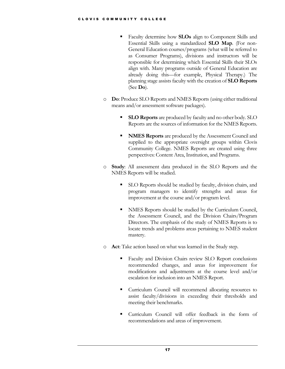- Faculty determine how **SLOs** align to Component Skills and Essential Skills using a standardized **SLO Map**. (For non-General Education courses/programs (what will be referred to as Consumer Programs), divisions and instructors will be responsible for determining which Essential Skills their SLOs align with. Many programs outside of General Education are already doing this—for example, Physical Therapy.) The planning stage assistsfaculty with the creation of **SLO Reports** (See **Do**).
- o **Do**: Produce SLO Reports and NMES Reports (using either traditional means and/or assessment software packages).
	- **SLO Reports** are produced by faculty and no other body. SLO Reports are the sources of information for the NMES Reports.
	- **NMES Reports** are produced by the Assessment Council and supplied to the appropriate oversight groups within Clovis Community College. NMES Reports are created using three perspectives: Content Area, Institution, and Programs.
- o **Study**: All assessment data produced in the SLO Reports and the NMES Reports will be studied.
	- SLO Reports should be studied by faculty, division chairs, and program managers to identify strengths and areas for improvement at the course and/or program level.
	- NMES Reports should be studied by the Curriculum Council, the Assessment Council, and the Division Chairs/Program Directors. The emphasis of the study of NMES Reports is to locate trends and problems areas pertaining to NMES student mastery.
- o **Act**: Take action based on what was learned in the Study step.
	- Faculty and Division Chairs review SLO Report conclusions recommended changes, and areas for improvement for modifications and adjustments at the course level and/or escalation for inclusion into an NMES Report.
	- Curriculum Council will recommend allocating resources to assist faculty/divisions in exceeding their thresholds and meeting their benchmarks.
	- Curriculum Council will offer feedback in the form of recommendations and areas of improvement.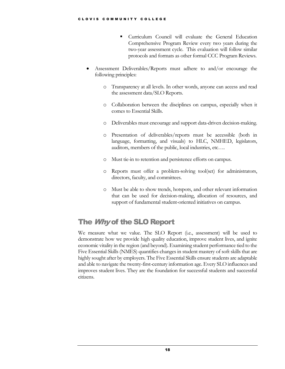- Curriculum Council will evaluate the General Education Comprehensive Program Review every two years during the two-year assessment cycle. This evaluation will follow similar protocols and formats as other formal CCC Program Reviews.
- Assessment Deliverables/Reports must adhere to and/or encourage the following principles:
	- o Transparency at all levels. In other words, anyone can access and read the assessment data/SLO Reports.
	- o Collaboration between the disciplines on campus, especially when it comes to Essential Skills.
	- o Deliverables must encourage and support data-driven decision-making.
	- o Presentation of deliverables/reports must be accessible (both in language, formatting, and visuals) to HLC, NMHED, legislators, auditors, members of the public, local industries, etc….
	- o Must tie-in to retention and persistence efforts on campus.
	- o Reports must offer a problem-solving tool(set) for administrators, directors, faculty, and committees.
	- o Must be able to show trends, hotspots, and other relevant information that can be used for decision-making, allocation of resources, and support of fundamental student-oriented initiatives on campus.

## <span id="page-21-0"></span>The Why of the SLO Report

We measure what we value. The SLO Report (i.e., assessment) will be used to demonstrate how we provide high quality education, improve student lives, and ignite economic vitality in the region (and beyond). Examining student performance tied to the Five Essential Skills (NMES) quantifies changes in student mastery of soft skills that are highly sought after by employers. The Five Essential Skills ensure students are adaptable and able to navigate the twenty-first-century information age. Every SLO influences and improves student lives. They are the foundation for successful students and successful citizens.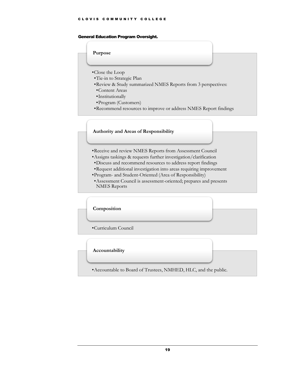#### <span id="page-22-0"></span>General Education Program Oversight.

#### **Purpose**

- •Close the Loop
- •Tie-in to Strategic Plan
- •Review & Study summarized NMES Reports from 3 perspectives:
- •Content Areas
- •Institutionally
- •Program (Customers)
- •Recommend resources to improve or address NMES Report findings

#### **Authority and Areas of Responsibility**

- •Receive and review NMES Reports from Assessment Council
- •Assigns taskings & requests further investigation/clarification
- •Discuss and recommend resources to address report findings
- •Request additional investigation into areas requiring improvement
- •Program- and Student-Oriented (Area of Responsibility)
- •Assessment Council is assessment-oriented; prepares and presents NMES Reports

#### **Composition**

•Curriculum Council

#### **Accountability**

•Accountable to Board of Trustees, NMHED, HLC, and the public.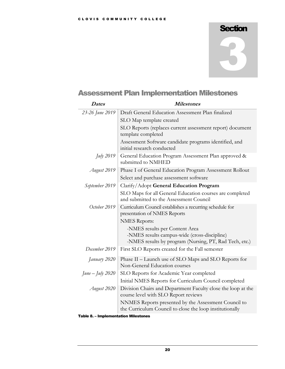# **Section**

# 3

# <span id="page-23-0"></span>Assessment Plan Implementation Milestones

| <b>Dates</b>       | <b>Milestones</b>                                                                                                                        |  |  |  |  |  |  |  |
|--------------------|------------------------------------------------------------------------------------------------------------------------------------------|--|--|--|--|--|--|--|
| 23-26 June 2019    | Draft General Education Assessment Plan finalized                                                                                        |  |  |  |  |  |  |  |
|                    | SLO Map template created                                                                                                                 |  |  |  |  |  |  |  |
|                    | SLO Reports (replaces current assessment report) document<br>template completed                                                          |  |  |  |  |  |  |  |
|                    | Assessment Software candidate programs identified, and<br>initial research conducted                                                     |  |  |  |  |  |  |  |
| July 2019          | General Education Program Assessment Plan approved &<br>submitted to NMHED                                                               |  |  |  |  |  |  |  |
| August 2019        | Phase I of General Education Program Assessment Rollout                                                                                  |  |  |  |  |  |  |  |
|                    | Select and purchase assessment software                                                                                                  |  |  |  |  |  |  |  |
| September 2019     | Clarify/Adopt General Education Program                                                                                                  |  |  |  |  |  |  |  |
|                    | SLO Maps for all General Education courses are completed<br>and submitted to the Assessment Council                                      |  |  |  |  |  |  |  |
| October 2019       | Curriculum Council establishes a recurring schedule for<br>presentation of NMES Reports                                                  |  |  |  |  |  |  |  |
|                    | <b>NMES</b> Reports:                                                                                                                     |  |  |  |  |  |  |  |
|                    | -NMES results per Content Area<br>-NMES results campus-wide (cross-discipline)<br>-NMES results by program (Nursing, PT, Rad Tech, etc.) |  |  |  |  |  |  |  |
| December 2019      | First SLO Reports created for the Fall semester                                                                                          |  |  |  |  |  |  |  |
| January 2020       | Phase II - Launch use of SLO Maps and SLO Reports for<br>Non-General Education courses                                                   |  |  |  |  |  |  |  |
| $June - July 2020$ | SLO Reports for Academic Year completed                                                                                                  |  |  |  |  |  |  |  |
|                    | Initial NMES Reports for Curriculum Council completed                                                                                    |  |  |  |  |  |  |  |
| August 2020        | Division Chairs and Department Faculty close the loop at the<br>course level with SLO Report reviews                                     |  |  |  |  |  |  |  |
|                    | NNMES Reports presented by the Assessment Council to<br>the Curriculum Council to close the loop institutionally                         |  |  |  |  |  |  |  |
|                    |                                                                                                                                          |  |  |  |  |  |  |  |

#### <span id="page-23-1"></span>Table 8. – Implementation Milestones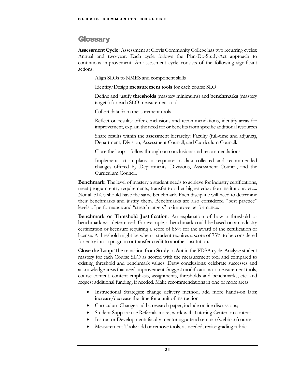#### <span id="page-24-0"></span>**Glossary**

**Assessment Cycle:** Assessment at Clovis Community College has two recurring cycles: Annual and two-year. Each cycle follows the Plan-Do-Study-Act approach to continuous improvement. An assessment cycle consists of the following significant actions:

Align SLOs to NMES and component skills

Identify/Design **measurement tools** for each course SLO

Define and justify **thresholds** (mastery minimums) and **benchmarks** (mastery targets) for each SLO measurement tool

Collect data from measurement tools

Reflect on results: offer conclusions and recommendations, identify areas for improvement, explain the need for or benefits from specific additional resources

Share results within the assessment hierarchy: Faculty (full-time and adjunct), Department, Division, Assessment Council, and Curriculum Council.

Close the loop—follow through on conclusions and recommendations.

Implement action plans in response to data collected and recommended changes offered by Departments, Divisions, Assessment Council, and the Curriculum Council.

**Benchmark**. The level of mastery a student needs to achieve for industry certifications, meet program entry requirements, transfer to other higher education institutions, etc... Not all SLOs should have the same benchmark. Each discipline will need to determine their benchmarks and justify them. Benchmarks are also considered "best practice" levels of performance and "stretch targets" to improve performance.

**Benchmark or Threshold Justification**. An explanation of how a threshold or benchmark was determined. For example, a benchmark could be based on an industry certification or licensure requiring a score of 85% for the award of the certification or license. A threshold might be when a student requires a score of 75% to be considered for entry into a program or transfer credit to another institution.

**Close the Loop:** The transition from **Study** to **Act** in the PDSA cycle. Analyze student mastery for each Course SLO as scored with the measurement tool and compared to existing threshold and benchmark values. Draw conclusions: celebrate successes and acknowledge areas that need improvement. Suggest modifications to measurement tools, course content, content emphasis, assignments, thresholds and benchmarks, etc. and request additional funding, if needed. Make recommendations in one or more areas:

- Instructional Strategies: change delivery method; add more hands-on labs; increase/decrease the time for a unit of instruction
- Curriculum Changes: add a research paper; include online discussions;
- Student Support: use Referrals more; work with Tutoring Center on content
- Instructor Development: faculty mentoring; attend seminar/webinar/course
- Measurement Tools: add or remove tools, as needed; revise grading rubric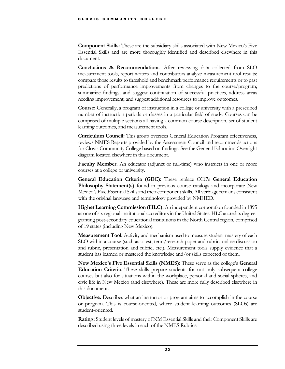**Component Skills:** These are the subsidiary skills associated with New Mexico's Five Essential Skills and are more thoroughly identified and described elsewhere in this document.

**Conclusions & Recommendations**. After reviewing data collected from SLO measurement tools, report writers and contributors analyze measurement tool results; compare those results to threshold and benchmark performance requirements or to past predictions of performance improvements from changes to the course/program; summarize findings; and suggest continuation of successful practices, address areas needing improvement, and suggest additional resources to improve outcomes.

**Course:** Generally, a program of instruction in a college or university with a prescribed number of instruction periods or classes in a particular field of study. Courses can be comprised of multiple sections all having a common course description, set of student learning outcomes, and measurement tools.

**Curriculum Council:** This group oversees General Education Program effectiveness, reviews NMES Reports provided by the Assessment Council and recommends actions for Clovis Community College based on findings. See the General Education Oversight diagram located elsewhere in this document.

**Faculty Member.** An educator (adjunct or full-time) who instructs in one or more courses at a college or university.

**General Education Criteria (GEC):** These replace CCC's **General Education Philosophy Statement(s)** found in previous course catalogs and incorporate New Mexico's Five Essential Skills and their component skills. All verbiage remains consistent with the original language and terminology provided by NMHED.

**Higher Learning Commission (HLC).**An independent corporation founded in 1895 as one of six regional institutional accreditors in the United States. HLC accredits degreegranting post-secondary educational institutions in the North Central region, comprised of 19 states (including New Mexico).

**Measurement Tool.** Activity and mechanism used to measure student mastery of each SLO within a course (such as a test, term/research paper and rubric, online discussion and rubric, presentation and rubric, etc.). Measurement tools supply evidence that a student has learned or mastered the knowledge and/or skills expected of them.

**New Mexico's Five Essential Skills (NMES):** These serve as the college's **General Education Criteria**. These skills prepare students for not only subsequent college courses but also for situations within the workplace, personal and social spheres, and civic life in New Mexico (and elsewhere). These are more fully described elsewhere in this document.

**Objective.** Describes what an instructor or program aims to accomplish in the course or program. This is course-oriented, where student learning outcomes (SLOs) are student-oriented.

**Rating:** Student levels of mastery of NM Essential Skills and their Component Skills are described using three levels in each of the NMES Rubrics: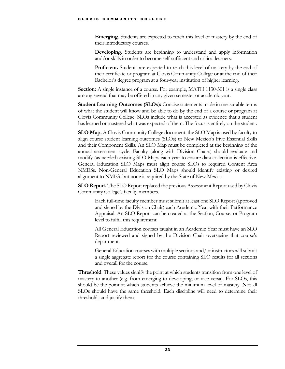**Emerging.** Students are expected to reach this level of mastery by the end of their introductory courses.

**Developing.** Students are beginning to understand and apply information and/or skills in order to become self-sufficient and critical learners.

**Proficient.** Students are expected to reach this level of mastery by the end of their certificate or program at Clovis Community College or at the end of their Bachelor's degree program at a four-year institution of higher learning.

**Section:** A single instance of a course. For example, MATH 1130-301 is a single class among several that may be offered in any given semester or academic year.

**Student Learning Outcomes (SLOs):** Concise statements made in measurable terms of what the student will know and be able to do by the end of a course or program at Clovis Community College. SLOs include what is accepted as evidence that a student has learned or mastered what was expected of them. The focus is entirely on the student.

**SLO Map.** A Clovis Community College document, the SLO Map is used by faculty to align course student learning outcomes (SLOs) to New Mexico's Five Essential Skills and their Component Skills. An SLO Map must be completed at the beginning of the annual assessment cycle. Faculty (along with Division Chairs) should evaluate and modify (as needed) existing SLO Maps each year to ensure data collection is effective. General Education SLO Maps must align course SLOs to required Content Area NMESs. Non-General Education SLO Maps should identify existing or desired alignment to NMES, but none is required by the State of New Mexico.

**SLO Report.** The SLO Report replaced the previous Assessment Report used by Clovis Community College's faculty members.

Each full-time faculty member must submit at least one SLO Report (approved and signed by the Division Chair) each Academic Year with their Performance Appraisal. An SLO Report can be created at the Section, Course, or Program level to fulfill this requirement.

All General Education courses taught in an Academic Year must have an SLO Report reviewed and signed by the Division Chair overseeing that course's department.

General Education courses with multiple sections and/or instructors will submit a single aggregate report for the course containing SLO results for all sections and overall for the course.

**Threshold**. These values signify the point at which students transition from one level of mastery to another (e.g. from emerging to developing, or vice versa). For SLOs, this should be the point at which students achieve the minimum level of mastery. Not all SLOs should have the same threshold. Each discipline will need to determine their thresholds and justify them.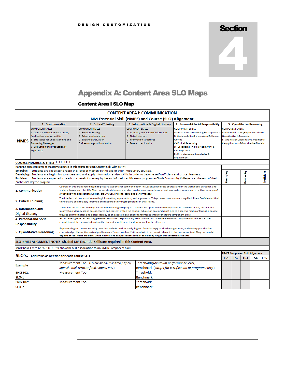# **Section** 2

# <span id="page-27-0"></span>Appendix A: Content Area SLO Maps

#### <span id="page-27-1"></span>Content Area I SLO Map

| <b>CONTENT AREA I: COMMUNICATION</b>                                                                                                                                                                                                                                                                                                                                                                                                                                                                                                                                                       |                                                                                                                                                                                                                   |                          |                                                                                                                                                                                                                                                                                                                                                                                                                               |                                                        |                                                                                                        |                                                                                                                                                                                                                                                                  |                                                                                                                                                                                       |                           |                                              |                 |            |  |  |  |
|--------------------------------------------------------------------------------------------------------------------------------------------------------------------------------------------------------------------------------------------------------------------------------------------------------------------------------------------------------------------------------------------------------------------------------------------------------------------------------------------------------------------------------------------------------------------------------------------|-------------------------------------------------------------------------------------------------------------------------------------------------------------------------------------------------------------------|--------------------------|-------------------------------------------------------------------------------------------------------------------------------------------------------------------------------------------------------------------------------------------------------------------------------------------------------------------------------------------------------------------------------------------------------------------------------|--------------------------------------------------------|--------------------------------------------------------------------------------------------------------|------------------------------------------------------------------------------------------------------------------------------------------------------------------------------------------------------------------------------------------------------------------|---------------------------------------------------------------------------------------------------------------------------------------------------------------------------------------|---------------------------|----------------------------------------------|-----------------|------------|--|--|--|
| NM Essential Skill (NMES) and Course (SLO) Alignment                                                                                                                                                                                                                                                                                                                                                                                                                                                                                                                                       |                                                                                                                                                                                                                   |                          |                                                                                                                                                                                                                                                                                                                                                                                                                               |                                                        |                                                                                                        |                                                                                                                                                                                                                                                                  |                                                                                                                                                                                       |                           |                                              |                 |            |  |  |  |
|                                                                                                                                                                                                                                                                                                                                                                                                                                                                                                                                                                                            | 1. Communication<br>4. Personal &Social Responsibility<br>2. Critical Thinking<br>3. Information & Digital Literacy                                                                                               |                          |                                                                                                                                                                                                                                                                                                                                                                                                                               |                                                        |                                                                                                        |                                                                                                                                                                                                                                                                  |                                                                                                                                                                                       | 5. Quantitative Reasoning |                                              |                 |            |  |  |  |
| <b>NMES</b>                                                                                                                                                                                                                                                                                                                                                                                                                                                                                                                                                                                | <b>COMPONENT SKILLS</b><br>A - Genre and Medium Awareness,<br>Application, and Versatility<br>B - Strategies for Understanding and<br><b>Evaluating Messages</b><br>C - Evaluation and Production of<br>Arguments |                          | <b>COMPONENT SKILLS</b><br>A - Problem Setting<br><b>B-Evidence Acquisition</b><br><b>C</b> - Evidence Evaluation<br>D - Reasoning and Conclusion                                                                                                                                                                                                                                                                             | <b>COMPONENT SKILLS</b><br><b>B</b> - Digital Literacy | A - Authority and Value of Information<br><b>C</b> - Information Structures<br>D - Research as Inquiry | <b>COMPONENT SKILLS</b><br>A-Intercultural reasoning & competence<br>B-Sustainability & the natural & Human<br>worlds<br><b>C</b> - Ethical Reasoning<br>D - Collaboration skills, teamwork &<br>value systems<br>E - Civic discourse, knowledge &<br>engagement | <b>COMPONENT SKILLS</b><br>A - Communication/Representation of<br>Quantitative Information<br><b>B</b> - Analysis of Quantitative Arguments<br>C - Application of Quantitative Models |                           |                                              |                 |            |  |  |  |
| <b>COURSE NUMBER &amp; TITLE: **********</b>                                                                                                                                                                                                                                                                                                                                                                                                                                                                                                                                               |                                                                                                                                                                                                                   |                          |                                                                                                                                                                                                                                                                                                                                                                                                                               |                                                        |                                                                                                        |                                                                                                                                                                                                                                                                  |                                                                                                                                                                                       |                           |                                              |                 |            |  |  |  |
| Rank the expected level of mastery expected in this course for each Content Skill with an "X".<br>Students are expected to reach this level of mastery by the end of their introductory courses.<br><b>Emerging:</b><br><b>Developing:</b><br>Students are beginning to understand and apply information and/or skills in order to become self-sufficient and critical learners.<br><b>Proficient:</b><br>Students are expected to reach this level of mastery by the end of their certificate or program at Clovis Community College or at the end of their<br>Bachelor's degree program. |                                                                                                                                                                                                                   |                          |                                                                                                                                                                                                                                                                                                                                                                                                                               |                                                        |                                                                                                        |                                                                                                                                                                                                                                                                  | Emerging                                                                                                                                                                              |                           | <b>Developing</b>                            |                 | Proficient |  |  |  |
| Courses in this area should begin to prepare students for communication in subsequent college courses and in the workplace, personal, and<br>social spheres, and civic life. The courses should prepare students to become versatile communicators who can respond to a diverse range of<br>1. Communication<br>situations with appropriate written, oral, visual, or digital texts and performances.                                                                                                                                                                                      |                                                                                                                                                                                                                   |                          |                                                                                                                                                                                                                                                                                                                                                                                                                               |                                                        |                                                                                                        |                                                                                                                                                                                                                                                                  |                                                                                                                                                                                       |                           |                                              |                 |            |  |  |  |
| 2. Critical Thinking                                                                                                                                                                                                                                                                                                                                                                                                                                                                                                                                                                       |                                                                                                                                                                                                                   |                          | The intellectual process of evaluating information, explanations, and arguments. This process is common among disciplines. Proficient critical<br>thinkers are able to apply informed and reasoned thinking to problems in their fields.                                                                                                                                                                                      |                                                        |                                                                                                        |                                                                                                                                                                                                                                                                  |                                                                                                                                                                                       |                           |                                              |                 |            |  |  |  |
| 3. Information and<br><b>Digital Literacy</b>                                                                                                                                                                                                                                                                                                                                                                                                                                                                                                                                              |                                                                                                                                                                                                                   |                          | The skill of information and digital literacy would begin to prepare students for upper division college courses, the workplace, and civic life.<br>Information literacy spans across genres and content within the general education core and is not tied to a specific media or format. A course<br>focused on information and digital literacy as an essential skill should encompass three of the fours component skills. |                                                        |                                                                                                        |                                                                                                                                                                                                                                                                  |                                                                                                                                                                                       |                           |                                              |                 |            |  |  |  |
| <b>Responsibility</b>                                                                                                                                                                                                                                                                                                                                                                                                                                                                                                                                                                      | <b>4. Personal and Social</b>                                                                                                                                                                                     |                          | A course designated as teaching personal and social responsibility skills include outcomes related to two component skill areas. At the<br>completion of the general education the student should be at the developing level in all areas.                                                                                                                                                                                    |                                                        |                                                                                                        |                                                                                                                                                                                                                                                                  |                                                                                                                                                                                       |                           |                                              |                 |            |  |  |  |
|                                                                                                                                                                                                                                                                                                                                                                                                                                                                                                                                                                                            | 5. Quantitative Reasoning                                                                                                                                                                                         |                          | Representing and communicating quantitative information, analyzing and formulating quantitative arguments, and solving quantitative<br>contextual problems. Contextual problems are "word problems" situated within a context relevant to the course content. They may model<br>aspects of real-world problems while maintaining an appropriate level of complexity for general education students.                           |                                                        |                                                                                                        |                                                                                                                                                                                                                                                                  |                                                                                                                                                                                       |                           |                                              |                 |            |  |  |  |
|                                                                                                                                                                                                                                                                                                                                                                                                                                                                                                                                                                                            |                                                                                                                                                                                                                   |                          | SLO-NMES ALIGNMENT NOTES: Shaded NM Essential Skills are required in this Content Area.                                                                                                                                                                                                                                                                                                                                       |                                                        |                                                                                                        |                                                                                                                                                                                                                                                                  |                                                                                                                                                                                       |                           |                                              |                 |            |  |  |  |
|                                                                                                                                                                                                                                                                                                                                                                                                                                                                                                                                                                                            |                                                                                                                                                                                                                   |                          | Mark boxes with an 'A-B-C-D-E' to show the SLO association to an NMES Component Skill.                                                                                                                                                                                                                                                                                                                                        |                                                        |                                                                                                        |                                                                                                                                                                                                                                                                  |                                                                                                                                                                                       |                           |                                              |                 |            |  |  |  |
|                                                                                                                                                                                                                                                                                                                                                                                                                                                                                                                                                                                            | <b>SLO's:</b> Add rows as needed for each course SLO                                                                                                                                                              |                          |                                                                                                                                                                                                                                                                                                                                                                                                                               |                                                        |                                                                                                        |                                                                                                                                                                                                                                                                  | ES1                                                                                                                                                                                   | ES <sub>2</sub>           | <b>NMES Component Skill Alignment</b><br>ES3 | ES <sub>4</sub> | ES5        |  |  |  |
| <b>Example</b>                                                                                                                                                                                                                                                                                                                                                                                                                                                                                                                                                                             |                                                                                                                                                                                                                   |                          | Measurement Tool: (Discussions, research paper,<br>speech, mid-term or final exams, etc.)                                                                                                                                                                                                                                                                                                                                     |                                                        | Threshold: (Minimum performance level)                                                                 | Benchmark: (Target for certification or program entry)                                                                                                                                                                                                           |                                                                                                                                                                                       |                           |                                              |                 |            |  |  |  |
| <b>ENG 102:</b>                                                                                                                                                                                                                                                                                                                                                                                                                                                                                                                                                                            |                                                                                                                                                                                                                   | <b>Measurement Tool:</b> |                                                                                                                                                                                                                                                                                                                                                                                                                               |                                                        | Threshold:                                                                                             |                                                                                                                                                                                                                                                                  |                                                                                                                                                                                       |                           |                                              |                 |            |  |  |  |
| <b>SLO-1</b>                                                                                                                                                                                                                                                                                                                                                                                                                                                                                                                                                                               |                                                                                                                                                                                                                   |                          |                                                                                                                                                                                                                                                                                                                                                                                                                               |                                                        | Benchmark:                                                                                             |                                                                                                                                                                                                                                                                  |                                                                                                                                                                                       |                           |                                              |                 |            |  |  |  |
| <b>ENG 102:</b><br><b>SLO-2</b>                                                                                                                                                                                                                                                                                                                                                                                                                                                                                                                                                            |                                                                                                                                                                                                                   | <b>Measurement Tool:</b> |                                                                                                                                                                                                                                                                                                                                                                                                                               |                                                        | Threshold:<br>Benchmark:                                                                               |                                                                                                                                                                                                                                                                  |                                                                                                                                                                                       |                           |                                              |                 |            |  |  |  |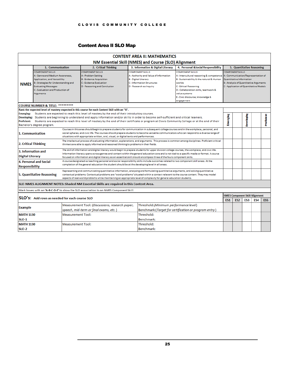#### <span id="page-28-0"></span>Content Area II SLO Map

|                                                                                                                                                                                                                                                                                                                                                                                                                                                                                                                                                                              |                                                                                                                                                                                                                                                                                                                                                                                                       |                                                                                                                                                                                                                                                                                                                                                                                                                               | <b>CONTENT AREA II: MATHEMATICS</b>                                                                                                                              |                                                                                                                                                                                                                                                                |                                                                                                                                                                                |                 |                                              |                           |                 |  |  |  |  |  |  |
|------------------------------------------------------------------------------------------------------------------------------------------------------------------------------------------------------------------------------------------------------------------------------------------------------------------------------------------------------------------------------------------------------------------------------------------------------------------------------------------------------------------------------------------------------------------------------|-------------------------------------------------------------------------------------------------------------------------------------------------------------------------------------------------------------------------------------------------------------------------------------------------------------------------------------------------------------------------------------------------------|-------------------------------------------------------------------------------------------------------------------------------------------------------------------------------------------------------------------------------------------------------------------------------------------------------------------------------------------------------------------------------------------------------------------------------|------------------------------------------------------------------------------------------------------------------------------------------------------------------|----------------------------------------------------------------------------------------------------------------------------------------------------------------------------------------------------------------------------------------------------------------|--------------------------------------------------------------------------------------------------------------------------------------------------------------------------------|-----------------|----------------------------------------------|---------------------------|-----------------|--|--|--|--|--|--|
| NM Essential Skill (NMES) and Course (SLO) Alignment                                                                                                                                                                                                                                                                                                                                                                                                                                                                                                                         |                                                                                                                                                                                                                                                                                                                                                                                                       |                                                                                                                                                                                                                                                                                                                                                                                                                               |                                                                                                                                                                  |                                                                                                                                                                                                                                                                |                                                                                                                                                                                |                 |                                              |                           |                 |  |  |  |  |  |  |
|                                                                                                                                                                                                                                                                                                                                                                                                                                                                                                                                                                              | 1. Communication<br>3. Information & Digital Literacy<br>4. Personal &Social Responsibility<br>2. Critical Thinking                                                                                                                                                                                                                                                                                   |                                                                                                                                                                                                                                                                                                                                                                                                                               |                                                                                                                                                                  |                                                                                                                                                                                                                                                                |                                                                                                                                                                                |                 |                                              | 5. Quantitative Reasoning |                 |  |  |  |  |  |  |
| <b>NMES</b>                                                                                                                                                                                                                                                                                                                                                                                                                                                                                                                                                                  | <b>COMPONENT SKILLS</b><br>A - Genre and Medium Awareness,<br>Application, and Versatility<br><b>B</b> - Strategies for Understanding and<br><b>Evaluating Messages</b><br>C - Evaluation and Production of<br>Arguments                                                                                                                                                                              | <b>COMPONENT SKILLS</b><br>A - Problem Setting<br><b>B-Evidence Acquisition</b><br><b>C</b> - Evidence Evaluation<br>D - Reasoning and Conclusion                                                                                                                                                                                                                                                                             | <b>COMPONENT SKILLS</b><br>A - Authority and Value of Information<br><b>B</b> - Digital Literacy<br><b>C</b> - Information Structures<br>D - Research as Inquiry | <b>COMPONENT SKILLS</b><br>A-Intercultural reasoning & competence<br>B-Sustainability & the natural & Human<br>worlds<br><b>C-Ethical Reasoning</b><br>D - Collaboration skills, teamwork &<br>value systems<br>E - Civic discourse, knowledge &<br>engagement | <b>COMPONENT SKILLS</b><br>A - Communication/Representation of<br>Quantitative Information<br>B - Analysis of Quantitative Arguments<br>C - Application of Quantitative Models |                 |                                              |                           |                 |  |  |  |  |  |  |
| <b>COURSE NUMBER &amp; TITLE: *********</b>                                                                                                                                                                                                                                                                                                                                                                                                                                                                                                                                  |                                                                                                                                                                                                                                                                                                                                                                                                       |                                                                                                                                                                                                                                                                                                                                                                                                                               |                                                                                                                                                                  |                                                                                                                                                                                                                                                                |                                                                                                                                                                                |                 |                                              |                           |                 |  |  |  |  |  |  |
| Rank the expected level of mastery expected in this course for each Content Skill with an "X".<br>Students are expected to reach this level of mastery by the end of their introductory courses.<br>Emerging:<br>Developing:<br>Students are beginning to understand and apply information and/or skills in order to become self-sufficient and critical learners.<br><b>Proficient:</b><br>Students are expected to reach this level of mastery by the end of their certificate or program at Clovis Community College or at the end of their<br>Bachelor's degree program. |                                                                                                                                                                                                                                                                                                                                                                                                       |                                                                                                                                                                                                                                                                                                                                                                                                                               |                                                                                                                                                                  |                                                                                                                                                                                                                                                                |                                                                                                                                                                                |                 |                                              |                           | Proficient      |  |  |  |  |  |  |
|                                                                                                                                                                                                                                                                                                                                                                                                                                                                                                                                                                              | Courses in this area should begin to prepare students for communication in subsequent college courses and in the workplace, personal, and<br>social spheres, and civic life. The courses should prepare students to become versatile communicators who can respond to a diverse range of<br>1. Communication<br>situations with appropriate written, oral, visual, or digital texts and performances. |                                                                                                                                                                                                                                                                                                                                                                                                                               |                                                                                                                                                                  |                                                                                                                                                                                                                                                                |                                                                                                                                                                                |                 |                                              |                           |                 |  |  |  |  |  |  |
| 2. Critical Thinking                                                                                                                                                                                                                                                                                                                                                                                                                                                                                                                                                         |                                                                                                                                                                                                                                                                                                                                                                                                       | The intellectual process of evaluating information, explanations, and arguments. This process is common among disciplines. Proficient critical<br>thinkers are able to apply informed and reasoned thinking to problems in their fields.                                                                                                                                                                                      |                                                                                                                                                                  |                                                                                                                                                                                                                                                                |                                                                                                                                                                                |                 |                                              |                           |                 |  |  |  |  |  |  |
| 3. Information and<br><b>Digital Literacy</b>                                                                                                                                                                                                                                                                                                                                                                                                                                                                                                                                |                                                                                                                                                                                                                                                                                                                                                                                                       | The skill of information and digital literacy would begin to prepare students for upper division college courses, the workplace, and civic life.<br>Information literacy spans across genres and content within the general education core and is not tied to a specific media or format. A course<br>focused on information and digital literacy as an essential skill should encompass three of the fours component skills. |                                                                                                                                                                  |                                                                                                                                                                                                                                                                |                                                                                                                                                                                |                 |                                              |                           |                 |  |  |  |  |  |  |
| <b>Responsibility</b>                                                                                                                                                                                                                                                                                                                                                                                                                                                                                                                                                        | 4. Personal and Social                                                                                                                                                                                                                                                                                                                                                                                | A course designated as teaching personal and social responsibility skills include outcomes related to two component skill areas. At the<br>completion of the general education the student should be at the developing level in all areas.                                                                                                                                                                                    |                                                                                                                                                                  |                                                                                                                                                                                                                                                                |                                                                                                                                                                                |                 |                                              |                           |                 |  |  |  |  |  |  |
|                                                                                                                                                                                                                                                                                                                                                                                                                                                                                                                                                                              | <b>5. Quantitative Reasoning</b>                                                                                                                                                                                                                                                                                                                                                                      | Representing and communicating quantitative information, analyzing and formulating quantitative arguments, and solving quantitative<br>contextual problems. Contextual problems are "word problems" situated within a context relevant to the course content. They may model<br>aspects of real-world problems while maintaining an appropriate level of complexity for general education students.                           |                                                                                                                                                                  |                                                                                                                                                                                                                                                                |                                                                                                                                                                                |                 |                                              |                           |                 |  |  |  |  |  |  |
|                                                                                                                                                                                                                                                                                                                                                                                                                                                                                                                                                                              |                                                                                                                                                                                                                                                                                                                                                                                                       | SLO-NMES ALIGNMENT NOTES: Shaded NM Essential Skills are required in this Content Area.                                                                                                                                                                                                                                                                                                                                       |                                                                                                                                                                  |                                                                                                                                                                                                                                                                |                                                                                                                                                                                |                 |                                              |                           |                 |  |  |  |  |  |  |
|                                                                                                                                                                                                                                                                                                                                                                                                                                                                                                                                                                              |                                                                                                                                                                                                                                                                                                                                                                                                       | Mark boxes with an 'A-B-C-D-E' to show the SLO association to an NMES Component Skill.                                                                                                                                                                                                                                                                                                                                        |                                                                                                                                                                  |                                                                                                                                                                                                                                                                |                                                                                                                                                                                |                 |                                              |                           |                 |  |  |  |  |  |  |
|                                                                                                                                                                                                                                                                                                                                                                                                                                                                                                                                                                              | <b>SLO's:</b> Add rows as needed for each course SLO                                                                                                                                                                                                                                                                                                                                                  |                                                                                                                                                                                                                                                                                                                                                                                                                               |                                                                                                                                                                  |                                                                                                                                                                                                                                                                | ES1                                                                                                                                                                            | ES <sub>2</sub> | <b>NMES Component Skill Alignment</b><br>ES3 | ES4                       | ES <sub>5</sub> |  |  |  |  |  |  |
| <b>Example</b>                                                                                                                                                                                                                                                                                                                                                                                                                                                                                                                                                               |                                                                                                                                                                                                                                                                                                                                                                                                       | Measurement Tool: (Discussions, research paper,<br>speech, mid-term or final exams, etc.)                                                                                                                                                                                                                                                                                                                                     | Threshold: (Minimum performance level)                                                                                                                           | Benchmark: (Target for certification or program entry)                                                                                                                                                                                                         |                                                                                                                                                                                |                 |                                              |                           |                 |  |  |  |  |  |  |
| <b>MATH 1130</b><br><b>SLO-1</b>                                                                                                                                                                                                                                                                                                                                                                                                                                                                                                                                             |                                                                                                                                                                                                                                                                                                                                                                                                       | <b>Measurement Tool:</b>                                                                                                                                                                                                                                                                                                                                                                                                      | Threshold:<br>Benchmark:                                                                                                                                         |                                                                                                                                                                                                                                                                |                                                                                                                                                                                |                 |                                              |                           |                 |  |  |  |  |  |  |
| <b>MATH 1130</b><br><b>SLO-2</b>                                                                                                                                                                                                                                                                                                                                                                                                                                                                                                                                             |                                                                                                                                                                                                                                                                                                                                                                                                       | <b>Measurement Tool:</b>                                                                                                                                                                                                                                                                                                                                                                                                      | Threshold:<br>Benchmark:                                                                                                                                         |                                                                                                                                                                                                                                                                |                                                                                                                                                                                |                 |                                              |                           |                 |  |  |  |  |  |  |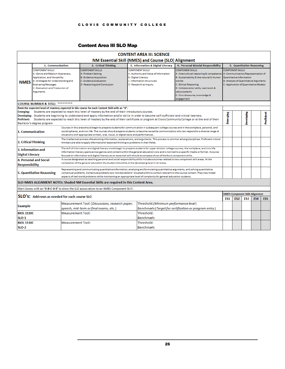#### <span id="page-29-0"></span>Content Area III SLO Map

|                                                                                                                                                                                                                                                                                                                                                                                                                                                                                                                                                                                  |                                                                                                                                                                                                                                                                                                                                                                                                       |                                                                                                                                                                                                                                                                                                                                                                                                                               |                                                                                                                                                                                                                                                                                                                                                                                                     |  | <b>CONTENT AREA III: SCIENCE</b>                                                                                                    |                                                                                                                                                                                                                                                                |                                                                                                                                                                                |                 |                                                          |     |                 |  |  |  |  |
|----------------------------------------------------------------------------------------------------------------------------------------------------------------------------------------------------------------------------------------------------------------------------------------------------------------------------------------------------------------------------------------------------------------------------------------------------------------------------------------------------------------------------------------------------------------------------------|-------------------------------------------------------------------------------------------------------------------------------------------------------------------------------------------------------------------------------------------------------------------------------------------------------------------------------------------------------------------------------------------------------|-------------------------------------------------------------------------------------------------------------------------------------------------------------------------------------------------------------------------------------------------------------------------------------------------------------------------------------------------------------------------------------------------------------------------------|-----------------------------------------------------------------------------------------------------------------------------------------------------------------------------------------------------------------------------------------------------------------------------------------------------------------------------------------------------------------------------------------------------|--|-------------------------------------------------------------------------------------------------------------------------------------|----------------------------------------------------------------------------------------------------------------------------------------------------------------------------------------------------------------------------------------------------------------|--------------------------------------------------------------------------------------------------------------------------------------------------------------------------------|-----------------|----------------------------------------------------------|-----|-----------------|--|--|--|--|
| NM Essential Skill (NMES) and Course (SLO) Alignment                                                                                                                                                                                                                                                                                                                                                                                                                                                                                                                             |                                                                                                                                                                                                                                                                                                                                                                                                       |                                                                                                                                                                                                                                                                                                                                                                                                                               |                                                                                                                                                                                                                                                                                                                                                                                                     |  |                                                                                                                                     |                                                                                                                                                                                                                                                                |                                                                                                                                                                                |                 |                                                          |     |                 |  |  |  |  |
|                                                                                                                                                                                                                                                                                                                                                                                                                                                                                                                                                                                  | 1. Communication<br>2. Critical Thinking<br>4. Personal &Social Responsibility<br>3. Information & Digital Literacy<br><b>COMPONENT SKILLS</b>                                                                                                                                                                                                                                                        |                                                                                                                                                                                                                                                                                                                                                                                                                               |                                                                                                                                                                                                                                                                                                                                                                                                     |  |                                                                                                                                     |                                                                                                                                                                                                                                                                |                                                                                                                                                                                |                 | 5. Quantitative Reasoning                                |     |                 |  |  |  |  |
| <b>NMES</b>                                                                                                                                                                                                                                                                                                                                                                                                                                                                                                                                                                      | <b>COMPONENT SKILLS</b><br>A - Genre and Medium Awareness,<br>Application, and Versatility<br>B-Strategies for Understanding and<br><b>Evaluating Messages</b><br>C - Evaluation and Production of<br>Arguments                                                                                                                                                                                       |                                                                                                                                                                                                                                                                                                                                                                                                                               | <b>COMPONENT SKILLS</b><br>A - Problem Setting<br><b>B-Evidence Acquisition</b><br><b>C</b> - Evidence Evaluation<br>D - Reasoning and Conclusion                                                                                                                                                                                                                                                   |  | A-Authority and Value of Information<br><b>B</b> - Digital Literacy<br><b>C</b> - Information Structures<br>D - Research as Inquiry | <b>COMPONENT SKILLS</b><br>A-Intercultural reasoning & competence<br>B-Sustainability & the natural & Human<br>worlds<br><b>C-Ethical Reasoning</b><br>D - Collaboration skills, teamwork &<br>value systems<br>E - Civic discourse, knowledge &<br>engagement | <b>COMPONENT SKILLS</b><br>A - Communication/Representation of<br>Quantitative Information<br>B - Analysis of Quantitative Arguments<br>C - Application of Quantitative Models |                 |                                                          |     |                 |  |  |  |  |
| <b>COURSE NUMBER &amp; TITLE: *********</b>                                                                                                                                                                                                                                                                                                                                                                                                                                                                                                                                      |                                                                                                                                                                                                                                                                                                                                                                                                       |                                                                                                                                                                                                                                                                                                                                                                                                                               |                                                                                                                                                                                                                                                                                                                                                                                                     |  |                                                                                                                                     |                                                                                                                                                                                                                                                                |                                                                                                                                                                                |                 |                                                          |     |                 |  |  |  |  |
| Rank the expected level of mastery expected in this course for each Content Skill with an "X".<br>Students are expected to reach this level of mastery by the end of their introductory courses.<br><b>Emerging:</b><br>Developing: Students are beginning to understand and apply information and/or skills in order to become self-sufficient and critical learners.<br><b>Proficient:</b><br>Students are expected to reach this level of mastery by the end of their certificate or program at Clovis Community College or at the end of their<br>Bachelor's degree program. |                                                                                                                                                                                                                                                                                                                                                                                                       |                                                                                                                                                                                                                                                                                                                                                                                                                               |                                                                                                                                                                                                                                                                                                                                                                                                     |  |                                                                                                                                     |                                                                                                                                                                                                                                                                |                                                                                                                                                                                |                 | Developing                                               |     | Proficient      |  |  |  |  |
|                                                                                                                                                                                                                                                                                                                                                                                                                                                                                                                                                                                  | Courses in this area should begin to prepare students for communication in subsequent college courses and in the workplace, personal, and<br>social spheres, and civic life. The courses should prepare students to become versatile communicators who can respond to a diverse range of<br>1. Communication<br>situations with appropriate written, oral, visual, or digital texts and performances. |                                                                                                                                                                                                                                                                                                                                                                                                                               |                                                                                                                                                                                                                                                                                                                                                                                                     |  |                                                                                                                                     |                                                                                                                                                                                                                                                                |                                                                                                                                                                                |                 |                                                          |     |                 |  |  |  |  |
|                                                                                                                                                                                                                                                                                                                                                                                                                                                                                                                                                                                  | The intellectual process of evaluating information, explanations, and arguments. This process is common among disciplines. Proficient critical<br>2. Critical Thinking<br>thinkers are able to apply informed and reasoned thinking to problems in their fields.                                                                                                                                      |                                                                                                                                                                                                                                                                                                                                                                                                                               |                                                                                                                                                                                                                                                                                                                                                                                                     |  |                                                                                                                                     |                                                                                                                                                                                                                                                                |                                                                                                                                                                                |                 |                                                          |     |                 |  |  |  |  |
| 3. Information and<br><b>Digital Literacy</b>                                                                                                                                                                                                                                                                                                                                                                                                                                                                                                                                    |                                                                                                                                                                                                                                                                                                                                                                                                       | The skill of information and digital literacy would begin to prepare students for upper division college courses, the workplace, and civic life.<br>Information literacy spans across genres and content within the general education core and is not tied to a specific media or format. A course<br>focused on information and digital literacy as an essential skill should encompass three of the fours component skills. |                                                                                                                                                                                                                                                                                                                                                                                                     |  |                                                                                                                                     |                                                                                                                                                                                                                                                                |                                                                                                                                                                                |                 |                                                          |     |                 |  |  |  |  |
| <b>Responsibility</b>                                                                                                                                                                                                                                                                                                                                                                                                                                                                                                                                                            | <b>4. Personal and Social</b>                                                                                                                                                                                                                                                                                                                                                                         |                                                                                                                                                                                                                                                                                                                                                                                                                               | A course designated as teaching personal and social responsibility skills include outcomes related to two component skill areas. At the<br>completion of the general education the student should be at the developing level in all areas.                                                                                                                                                          |  |                                                                                                                                     |                                                                                                                                                                                                                                                                |                                                                                                                                                                                |                 |                                                          |     |                 |  |  |  |  |
|                                                                                                                                                                                                                                                                                                                                                                                                                                                                                                                                                                                  | <b>5. Quantitative Reasoning</b>                                                                                                                                                                                                                                                                                                                                                                      |                                                                                                                                                                                                                                                                                                                                                                                                                               | Representing and communicating quantitative information, analyzing and formulating quantitative arguments, and solving quantitative<br>contextual problems. Contextual problems are "word problems" situated within a context relevant to the course content. They may model<br>aspects of real-world problems while maintaining an appropriate level of complexity for general education students. |  |                                                                                                                                     |                                                                                                                                                                                                                                                                |                                                                                                                                                                                |                 |                                                          |     |                 |  |  |  |  |
|                                                                                                                                                                                                                                                                                                                                                                                                                                                                                                                                                                                  |                                                                                                                                                                                                                                                                                                                                                                                                       |                                                                                                                                                                                                                                                                                                                                                                                                                               | SLO-NMES ALIGNMENT NOTES: Shaded NM Essential Skills are required in this Content Area.                                                                                                                                                                                                                                                                                                             |  |                                                                                                                                     |                                                                                                                                                                                                                                                                |                                                                                                                                                                                |                 |                                                          |     |                 |  |  |  |  |
|                                                                                                                                                                                                                                                                                                                                                                                                                                                                                                                                                                                  |                                                                                                                                                                                                                                                                                                                                                                                                       |                                                                                                                                                                                                                                                                                                                                                                                                                               | Mark boxes with an 'A-B-C-D-E' to show the SLO association to an NMES Component Skill.                                                                                                                                                                                                                                                                                                              |  |                                                                                                                                     |                                                                                                                                                                                                                                                                |                                                                                                                                                                                |                 |                                                          |     |                 |  |  |  |  |
|                                                                                                                                                                                                                                                                                                                                                                                                                                                                                                                                                                                  | <b>SLO's:</b> Add rows as needed for each course SLO                                                                                                                                                                                                                                                                                                                                                  |                                                                                                                                                                                                                                                                                                                                                                                                                               |                                                                                                                                                                                                                                                                                                                                                                                                     |  |                                                                                                                                     |                                                                                                                                                                                                                                                                | ES <sub>1</sub>                                                                                                                                                                | ES <sub>2</sub> | <b>NMES Component Skill Alignment</b><br>ES <sub>3</sub> | ES4 | ES <sub>5</sub> |  |  |  |  |
| <b>Example</b>                                                                                                                                                                                                                                                                                                                                                                                                                                                                                                                                                                   |                                                                                                                                                                                                                                                                                                                                                                                                       |                                                                                                                                                                                                                                                                                                                                                                                                                               | Measurement Tool: (Discussions, research paper,<br>speech, mid-term or final exams, etc.)                                                                                                                                                                                                                                                                                                           |  | Threshold: (Minimum performance level)                                                                                              | Benchmark: (Target for certification or program entry)                                                                                                                                                                                                         |                                                                                                                                                                                |                 |                                                          |     |                 |  |  |  |  |
| <b>BIOL 1110C</b>                                                                                                                                                                                                                                                                                                                                                                                                                                                                                                                                                                |                                                                                                                                                                                                                                                                                                                                                                                                       | <b>Measurement Tool:</b>                                                                                                                                                                                                                                                                                                                                                                                                      |                                                                                                                                                                                                                                                                                                                                                                                                     |  | Threshold:                                                                                                                          |                                                                                                                                                                                                                                                                |                                                                                                                                                                                |                 |                                                          |     |                 |  |  |  |  |
| <b>SLO-1</b>                                                                                                                                                                                                                                                                                                                                                                                                                                                                                                                                                                     |                                                                                                                                                                                                                                                                                                                                                                                                       |                                                                                                                                                                                                                                                                                                                                                                                                                               |                                                                                                                                                                                                                                                                                                                                                                                                     |  | Benchmark:                                                                                                                          |                                                                                                                                                                                                                                                                |                                                                                                                                                                                |                 |                                                          |     |                 |  |  |  |  |
| <b>BIOL 1110C</b>                                                                                                                                                                                                                                                                                                                                                                                                                                                                                                                                                                |                                                                                                                                                                                                                                                                                                                                                                                                       | <b>Measurement Tool:</b>                                                                                                                                                                                                                                                                                                                                                                                                      |                                                                                                                                                                                                                                                                                                                                                                                                     |  | Threshold:                                                                                                                          |                                                                                                                                                                                                                                                                |                                                                                                                                                                                |                 |                                                          |     |                 |  |  |  |  |
| <b>SLO-2</b>                                                                                                                                                                                                                                                                                                                                                                                                                                                                                                                                                                     |                                                                                                                                                                                                                                                                                                                                                                                                       | <b>Benchmark:</b>                                                                                                                                                                                                                                                                                                                                                                                                             |                                                                                                                                                                                                                                                                                                                                                                                                     |  |                                                                                                                                     |                                                                                                                                                                                                                                                                |                                                                                                                                                                                |                 |                                                          |     |                 |  |  |  |  |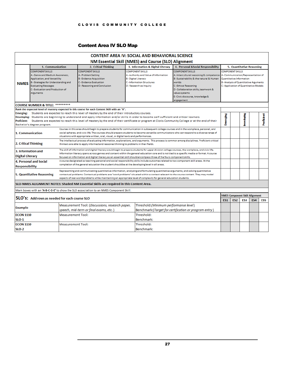#### <span id="page-30-0"></span>Content Area IV SLO Map

|                                                                                                                                                                                                                                                                                                                                                                                                                                                                                                                                                                           |                                                                                                                                                                                                                 |                                                                                                                                                                                                                                                                                                                                                                                                                               |                                                                                                                                                     | <b>CONTENT AREA IV: SOCIAL AND BEHAVIORAL SCIENCE</b>                                                                                                                                                                                                                                                                                                                                               |                                                                                                                                                                                                                                                                  |                                                                                                                                                                                |                           |                                              |                 |            |  |  |  |
|---------------------------------------------------------------------------------------------------------------------------------------------------------------------------------------------------------------------------------------------------------------------------------------------------------------------------------------------------------------------------------------------------------------------------------------------------------------------------------------------------------------------------------------------------------------------------|-----------------------------------------------------------------------------------------------------------------------------------------------------------------------------------------------------------------|-------------------------------------------------------------------------------------------------------------------------------------------------------------------------------------------------------------------------------------------------------------------------------------------------------------------------------------------------------------------------------------------------------------------------------|-----------------------------------------------------------------------------------------------------------------------------------------------------|-----------------------------------------------------------------------------------------------------------------------------------------------------------------------------------------------------------------------------------------------------------------------------------------------------------------------------------------------------------------------------------------------------|------------------------------------------------------------------------------------------------------------------------------------------------------------------------------------------------------------------------------------------------------------------|--------------------------------------------------------------------------------------------------------------------------------------------------------------------------------|---------------------------|----------------------------------------------|-----------------|------------|--|--|--|
| NM Essential Skill (NMES) and Course (SLO) Alignment                                                                                                                                                                                                                                                                                                                                                                                                                                                                                                                      |                                                                                                                                                                                                                 |                                                                                                                                                                                                                                                                                                                                                                                                                               |                                                                                                                                                     |                                                                                                                                                                                                                                                                                                                                                                                                     |                                                                                                                                                                                                                                                                  |                                                                                                                                                                                |                           |                                              |                 |            |  |  |  |
|                                                                                                                                                                                                                                                                                                                                                                                                                                                                                                                                                                           | 1. Communication<br>2. Critical Thinking<br>3. Information & Digital Literacy<br>4. Personal &Social Responsibility                                                                                             |                                                                                                                                                                                                                                                                                                                                                                                                                               |                                                                                                                                                     |                                                                                                                                                                                                                                                                                                                                                                                                     |                                                                                                                                                                                                                                                                  |                                                                                                                                                                                | 5. Quantitative Reasoning |                                              |                 |            |  |  |  |
| <b>NMES</b>                                                                                                                                                                                                                                                                                                                                                                                                                                                                                                                                                               | <b>COMPONENT SKILLS</b><br>A-Genre and Medium Awareness,<br>Application, and Versatility<br>B - Strategies for Understanding and<br><b>Evaluating Messages</b><br>C - Evaluation and Production of<br>Arguments |                                                                                                                                                                                                                                                                                                                                                                                                                               | <b>COMPONENT SKILLS</b><br>A - Problem Setting<br><b>B</b> - Evidence Acquisition<br><b>C</b> - Evidence Evaluation<br>D - Reasoning and Conclusion | <b>COMPONENT SKILLS</b><br>A - Authority and Value of Information<br><b>B</b> - Digital Literacy<br><b>C</b> - Information Structures<br>D - Research as Inquiry                                                                                                                                                                                                                                    | <b>COMPONENT SKILLS</b><br>A-Intercultural reasoning & competence<br>B-Sustainability & the natural & Human<br>worlds<br><b>C</b> - Ethical Reasoning<br>D - Collaboration skills, teamwork &<br>value systems<br>E - Civic discourse, knowledge &<br>engagement | <b>COMPONENT SKILLS</b><br>A - Communication/Representation of<br>Quantitative Information<br>B - Analysis of Quantitative Arguments<br>C - Application of Quantitative Models |                           |                                              |                 |            |  |  |  |
| <b>COURSE NUMBER &amp; TITLE: *********</b>                                                                                                                                                                                                                                                                                                                                                                                                                                                                                                                               |                                                                                                                                                                                                                 |                                                                                                                                                                                                                                                                                                                                                                                                                               |                                                                                                                                                     |                                                                                                                                                                                                                                                                                                                                                                                                     |                                                                                                                                                                                                                                                                  |                                                                                                                                                                                |                           |                                              |                 |            |  |  |  |
| Rank the expected level of mastery expected in this course for each Content Skill with an "X".<br>Students are expected to reach this level of mastery by the end of their introductory courses.<br>Emerging:<br>Developing: Students are beginning to understand and apply information and/or skills in order to become self-sufficient and critical learners.<br><b>Proficient:</b><br>Students are expected to reach this level of mastery by the end of their certificate or program at Clovis Community College or at the end of their<br>Bachelor's degree program. |                                                                                                                                                                                                                 |                                                                                                                                                                                                                                                                                                                                                                                                                               |                                                                                                                                                     |                                                                                                                                                                                                                                                                                                                                                                                                     |                                                                                                                                                                                                                                                                  |                                                                                                                                                                                |                           | <b>Developing</b>                            |                 | Proficient |  |  |  |
| 1. Communication                                                                                                                                                                                                                                                                                                                                                                                                                                                                                                                                                          |                                                                                                                                                                                                                 | Courses in this area should begin to prepare students for communication in subsequent college courses and in the workplace, personal, and<br>social spheres, and civic life. The courses should prepare students to become versatile communicators who can respond to a diverse range of<br>situations with appropriate written, oral, visual, or digital texts and performances.                                             |                                                                                                                                                     |                                                                                                                                                                                                                                                                                                                                                                                                     |                                                                                                                                                                                                                                                                  |                                                                                                                                                                                |                           |                                              |                 |            |  |  |  |
| 2. Critical Thinking                                                                                                                                                                                                                                                                                                                                                                                                                                                                                                                                                      |                                                                                                                                                                                                                 |                                                                                                                                                                                                                                                                                                                                                                                                                               | thinkers are able to apply informed and reasoned thinking to problems in their fields.                                                              | The intellectual process of evaluating information, explanations, and arguments. This process is common among disciplines. Proficient critical                                                                                                                                                                                                                                                      |                                                                                                                                                                                                                                                                  |                                                                                                                                                                                |                           |                                              |                 |            |  |  |  |
| 3. Information and<br><b>Digital Literacy</b>                                                                                                                                                                                                                                                                                                                                                                                                                                                                                                                             |                                                                                                                                                                                                                 | The skill of information and digital literacy would begin to prepare students for upper division college courses, the workplace, and civic life.<br>Information literacy spans across genres and content within the general education core and is not tied to a specific media or format. A course<br>focused on information and digital literacy as an essential skill should encompass three of the fours component skills. |                                                                                                                                                     |                                                                                                                                                                                                                                                                                                                                                                                                     |                                                                                                                                                                                                                                                                  |                                                                                                                                                                                |                           |                                              |                 |            |  |  |  |
| <b>Responsibility</b>                                                                                                                                                                                                                                                                                                                                                                                                                                                                                                                                                     | <b>4. Personal and Social</b>                                                                                                                                                                                   |                                                                                                                                                                                                                                                                                                                                                                                                                               | completion of the general education the student should be at the developing level in all areas.                                                     | A course designated as teaching personal and social responsibility skills include outcomes related to two component skill areas. At the                                                                                                                                                                                                                                                             |                                                                                                                                                                                                                                                                  |                                                                                                                                                                                |                           |                                              |                 |            |  |  |  |
|                                                                                                                                                                                                                                                                                                                                                                                                                                                                                                                                                                           | <b>5. Quantitative Reasoning</b>                                                                                                                                                                                |                                                                                                                                                                                                                                                                                                                                                                                                                               |                                                                                                                                                     | Representing and communicating quantitative information, analyzing and formulating quantitative arguments, and solving quantitative<br>contextual problems. Contextual problems are "word problems" situated within a context relevant to the course content. They may model<br>aspects of real-world problems while maintaining an appropriate level of complexity for general education students. |                                                                                                                                                                                                                                                                  |                                                                                                                                                                                |                           |                                              |                 |            |  |  |  |
|                                                                                                                                                                                                                                                                                                                                                                                                                                                                                                                                                                           |                                                                                                                                                                                                                 |                                                                                                                                                                                                                                                                                                                                                                                                                               | SLO-NMES ALIGNMENT NOTES: Shaded NM Essential Skills are required in this Content Area.                                                             |                                                                                                                                                                                                                                                                                                                                                                                                     |                                                                                                                                                                                                                                                                  |                                                                                                                                                                                |                           |                                              |                 |            |  |  |  |
|                                                                                                                                                                                                                                                                                                                                                                                                                                                                                                                                                                           |                                                                                                                                                                                                                 |                                                                                                                                                                                                                                                                                                                                                                                                                               | Mark boxes with an 'A-B-C-D-E' to show the SLO association to an NMES Component Skill.                                                              |                                                                                                                                                                                                                                                                                                                                                                                                     |                                                                                                                                                                                                                                                                  |                                                                                                                                                                                |                           |                                              |                 |            |  |  |  |
|                                                                                                                                                                                                                                                                                                                                                                                                                                                                                                                                                                           | SLO's: Add rows as needed for each course SLO                                                                                                                                                                   |                                                                                                                                                                                                                                                                                                                                                                                                                               |                                                                                                                                                     |                                                                                                                                                                                                                                                                                                                                                                                                     |                                                                                                                                                                                                                                                                  | ES1                                                                                                                                                                            | ES <sub>2</sub>           | <b>NMES Component Skill Alignment</b><br>ES3 | ES <sub>4</sub> | ES5        |  |  |  |
| <b>Example</b>                                                                                                                                                                                                                                                                                                                                                                                                                                                                                                                                                            |                                                                                                                                                                                                                 |                                                                                                                                                                                                                                                                                                                                                                                                                               | Measurement Tool: (Discussions, research paper,<br>speech, mid-term or final exams, etc.)                                                           | Threshold: (Minimum performance level)                                                                                                                                                                                                                                                                                                                                                              | Benchmark: (Target for certification or program entry)                                                                                                                                                                                                           |                                                                                                                                                                                |                           |                                              |                 |            |  |  |  |
| <b>ECON 1110</b>                                                                                                                                                                                                                                                                                                                                                                                                                                                                                                                                                          |                                                                                                                                                                                                                 | <b>Measurement Tool:</b>                                                                                                                                                                                                                                                                                                                                                                                                      |                                                                                                                                                     | Threshold:                                                                                                                                                                                                                                                                                                                                                                                          |                                                                                                                                                                                                                                                                  |                                                                                                                                                                                |                           |                                              |                 |            |  |  |  |
| <b>SLO-1</b>                                                                                                                                                                                                                                                                                                                                                                                                                                                                                                                                                              |                                                                                                                                                                                                                 |                                                                                                                                                                                                                                                                                                                                                                                                                               |                                                                                                                                                     | Benchmark:                                                                                                                                                                                                                                                                                                                                                                                          |                                                                                                                                                                                                                                                                  |                                                                                                                                                                                |                           |                                              |                 |            |  |  |  |
| <b>ECON 1110</b><br><b>SLO-2</b>                                                                                                                                                                                                                                                                                                                                                                                                                                                                                                                                          |                                                                                                                                                                                                                 | <b>Measurement Tool:</b>                                                                                                                                                                                                                                                                                                                                                                                                      |                                                                                                                                                     | Threshold:<br>Benchmark:                                                                                                                                                                                                                                                                                                                                                                            |                                                                                                                                                                                                                                                                  |                                                                                                                                                                                |                           |                                              |                 |            |  |  |  |
|                                                                                                                                                                                                                                                                                                                                                                                                                                                                                                                                                                           |                                                                                                                                                                                                                 |                                                                                                                                                                                                                                                                                                                                                                                                                               |                                                                                                                                                     |                                                                                                                                                                                                                                                                                                                                                                                                     |                                                                                                                                                                                                                                                                  |                                                                                                                                                                                |                           |                                              |                 |            |  |  |  |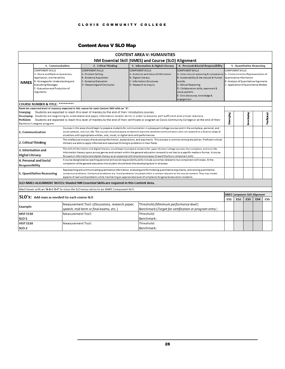#### <span id="page-31-0"></span>Content Area V SLO Map

|                                                                                                                                                                                                                                                                                                                                                                                                                                                                                                                                                                                  |                                                                                                                     |                                                                                                                                                                                                                                                                                                                                                                                                                                                                                                                                                                                                                                                                                                                                                 |                                                                                                                                                                                                                                                                                                                                                                                   | <b>CONTENT AREA V: HUMANITIES</b>                                                                                                                                                                                                                                                                                                                                                                   |                                                        |     |                                                                                                                                                                                     |                           |     |                 |  |  |  |  |  |
|----------------------------------------------------------------------------------------------------------------------------------------------------------------------------------------------------------------------------------------------------------------------------------------------------------------------------------------------------------------------------------------------------------------------------------------------------------------------------------------------------------------------------------------------------------------------------------|---------------------------------------------------------------------------------------------------------------------|-------------------------------------------------------------------------------------------------------------------------------------------------------------------------------------------------------------------------------------------------------------------------------------------------------------------------------------------------------------------------------------------------------------------------------------------------------------------------------------------------------------------------------------------------------------------------------------------------------------------------------------------------------------------------------------------------------------------------------------------------|-----------------------------------------------------------------------------------------------------------------------------------------------------------------------------------------------------------------------------------------------------------------------------------------------------------------------------------------------------------------------------------|-----------------------------------------------------------------------------------------------------------------------------------------------------------------------------------------------------------------------------------------------------------------------------------------------------------------------------------------------------------------------------------------------------|--------------------------------------------------------|-----|-------------------------------------------------------------------------------------------------------------------------------------------------------------------------------------|---------------------------|-----|-----------------|--|--|--|--|--|
| NM Essential Skill (NMES) and Course (SLO) Alignment                                                                                                                                                                                                                                                                                                                                                                                                                                                                                                                             |                                                                                                                     |                                                                                                                                                                                                                                                                                                                                                                                                                                                                                                                                                                                                                                                                                                                                                 |                                                                                                                                                                                                                                                                                                                                                                                   |                                                                                                                                                                                                                                                                                                                                                                                                     |                                                        |     |                                                                                                                                                                                     |                           |     |                 |  |  |  |  |  |
|                                                                                                                                                                                                                                                                                                                                                                                                                                                                                                                                                                                  | 1. Communication<br>4. Personal &Social Responsibility<br>2. Critical Thinking<br>3. Information & Digital Literacy |                                                                                                                                                                                                                                                                                                                                                                                                                                                                                                                                                                                                                                                                                                                                                 |                                                                                                                                                                                                                                                                                                                                                                                   |                                                                                                                                                                                                                                                                                                                                                                                                     |                                                        |     |                                                                                                                                                                                     | 5. Quantitative Reasoning |     |                 |  |  |  |  |  |
| <b>NMES</b>                                                                                                                                                                                                                                                                                                                                                                                                                                                                                                                                                                      | <b>COMPONENT SKILLS</b><br><b>Evaluating Messages</b><br>Arguments                                                  | <b>COMPONENT SKILLS</b><br><b>COMPONENT SKILLS</b><br><b>COMPONENT SKILLS</b><br>A - Genre and Medium Awareness,<br>A - Problem Setting<br>A-Authority and Value of Information<br>A-Intercultural reasoning & competence<br>B-Sustainability & the natural & Human<br>Application, and Versatility<br><b>B</b> - Evidence Acquisition<br><b>B</b> - Digital Literacy<br><b>B</b> - Strategies for Understanding and<br><b>C</b> - Evidence Evaluation<br><b>C</b> - Information Structures<br>worlds<br><b>C</b> - Ethical Reasoning<br>D - Reasoning and Conclusion<br>D - Research as Inquiry<br>C - Evaluation and Production of<br>D - Collaboration skills, teamwork &<br>value systems<br>E - Civic discourse, knowledge &<br>engagement |                                                                                                                                                                                                                                                                                                                                                                                   |                                                                                                                                                                                                                                                                                                                                                                                                     |                                                        |     | <b>COMPONENT SKILLS</b><br>A-Communication/Representation of<br>Quantitative Information<br><b>B</b> - Analysis of Quantitative Arguments<br>C - Application of Quantitative Models |                           |     |                 |  |  |  |  |  |
| <b>COURSE NUMBER &amp; TITLE: *********</b>                                                                                                                                                                                                                                                                                                                                                                                                                                                                                                                                      |                                                                                                                     |                                                                                                                                                                                                                                                                                                                                                                                                                                                                                                                                                                                                                                                                                                                                                 |                                                                                                                                                                                                                                                                                                                                                                                   |                                                                                                                                                                                                                                                                                                                                                                                                     |                                                        |     |                                                                                                                                                                                     |                           |     |                 |  |  |  |  |  |
| Rank the expected level of mastery expected in this course for each Content Skill with an "X".<br>Students are expected to reach this level of mastery by the end of their introductory courses.<br><b>Emerging:</b><br>Developing: Students are beginning to understand and apply information and/or skills in order to become self-sufficient and critical learners.<br><b>Proficient:</b><br>Students are expected to reach this level of mastery by the end of their certificate or program at Clovis Community College or at the end of their<br>Bachelor's degree program. |                                                                                                                     |                                                                                                                                                                                                                                                                                                                                                                                                                                                                                                                                                                                                                                                                                                                                                 |                                                                                                                                                                                                                                                                                                                                                                                   |                                                                                                                                                                                                                                                                                                                                                                                                     |                                                        |     |                                                                                                                                                                                     | <b>Developing</b>         |     | Proficient      |  |  |  |  |  |
| 1. Communication                                                                                                                                                                                                                                                                                                                                                                                                                                                                                                                                                                 |                                                                                                                     |                                                                                                                                                                                                                                                                                                                                                                                                                                                                                                                                                                                                                                                                                                                                                 | Courses in this area should begin to prepare students for communication in subsequent college courses and in the workplace, personal, and<br>social spheres, and civic life. The courses should prepare students to become versatile communicators who can respond to a diverse range of<br>situations with appropriate written, oral, visual, or digital texts and performances. |                                                                                                                                                                                                                                                                                                                                                                                                     |                                                        |     |                                                                                                                                                                                     |                           |     |                 |  |  |  |  |  |
| The intellectual process of evaluating information, explanations, and arguments. This process is common among disciplines. Proficient critical<br>2. Critical Thinking<br>thinkers are able to apply informed and reasoned thinking to problems in their fields.                                                                                                                                                                                                                                                                                                                 |                                                                                                                     |                                                                                                                                                                                                                                                                                                                                                                                                                                                                                                                                                                                                                                                                                                                                                 |                                                                                                                                                                                                                                                                                                                                                                                   |                                                                                                                                                                                                                                                                                                                                                                                                     |                                                        |     |                                                                                                                                                                                     |                           |     |                 |  |  |  |  |  |
| 3. Information and<br><b>Digital Literacy</b>                                                                                                                                                                                                                                                                                                                                                                                                                                                                                                                                    |                                                                                                                     | The skill of information and digital literacy would begin to prepare students for upper division college courses, the workplace, and civic life.<br>Information literacy spans across genres and content within the general education core and is not tied to a specific media or format. A course<br>focused on information and digital literacy as an essential skill should encompass three of the fours component skills.                                                                                                                                                                                                                                                                                                                   |                                                                                                                                                                                                                                                                                                                                                                                   |                                                                                                                                                                                                                                                                                                                                                                                                     |                                                        |     |                                                                                                                                                                                     |                           |     |                 |  |  |  |  |  |
| <b>Responsibility</b>                                                                                                                                                                                                                                                                                                                                                                                                                                                                                                                                                            | 4. Personal and Social                                                                                              |                                                                                                                                                                                                                                                                                                                                                                                                                                                                                                                                                                                                                                                                                                                                                 | completion of the general education the student should be at the developing level in all areas.                                                                                                                                                                                                                                                                                   | A course designated as teaching personal and social responsibility skills include outcomes related to two component skill areas. At the                                                                                                                                                                                                                                                             |                                                        |     |                                                                                                                                                                                     |                           |     |                 |  |  |  |  |  |
|                                                                                                                                                                                                                                                                                                                                                                                                                                                                                                                                                                                  | 5. Quantitative Reasoning                                                                                           |                                                                                                                                                                                                                                                                                                                                                                                                                                                                                                                                                                                                                                                                                                                                                 |                                                                                                                                                                                                                                                                                                                                                                                   | Representing and communicating quantitative information, analyzing and formulating quantitative arguments, and solving quantitative<br>contextual problems. Contextual problems are "word problems" situated within a context relevant to the course content. They may model<br>aspects of real-world problems while maintaining an appropriate level of complexity for general education students. |                                                        |     |                                                                                                                                                                                     |                           |     |                 |  |  |  |  |  |
|                                                                                                                                                                                                                                                                                                                                                                                                                                                                                                                                                                                  |                                                                                                                     |                                                                                                                                                                                                                                                                                                                                                                                                                                                                                                                                                                                                                                                                                                                                                 | SLO-NMES ALIGNMENT NOTES: Shaded NM Essential Skills are required in this Content Area.                                                                                                                                                                                                                                                                                           |                                                                                                                                                                                                                                                                                                                                                                                                     |                                                        |     |                                                                                                                                                                                     |                           |     |                 |  |  |  |  |  |
|                                                                                                                                                                                                                                                                                                                                                                                                                                                                                                                                                                                  |                                                                                                                     |                                                                                                                                                                                                                                                                                                                                                                                                                                                                                                                                                                                                                                                                                                                                                 | Mark boxes with an 'A-B-C-D-E' to show the SLO association to an NMES Component Skill.                                                                                                                                                                                                                                                                                            |                                                                                                                                                                                                                                                                                                                                                                                                     |                                                        |     |                                                                                                                                                                                     |                           |     |                 |  |  |  |  |  |
|                                                                                                                                                                                                                                                                                                                                                                                                                                                                                                                                                                                  | <b>SLO's:</b> Add rows as needed for each course SLO                                                                |                                                                                                                                                                                                                                                                                                                                                                                                                                                                                                                                                                                                                                                                                                                                                 |                                                                                                                                                                                                                                                                                                                                                                                   |                                                                                                                                                                                                                                                                                                                                                                                                     |                                                        | ES1 | <b>NMES Component Skill Alignment</b><br>ES <sub>2</sub>                                                                                                                            | ES <sub>3</sub>           | ES4 | ES <sub>5</sub> |  |  |  |  |  |
| Example                                                                                                                                                                                                                                                                                                                                                                                                                                                                                                                                                                          |                                                                                                                     |                                                                                                                                                                                                                                                                                                                                                                                                                                                                                                                                                                                                                                                                                                                                                 | Measurement Tool: (Discussions, research paper,<br>speech, mid-term or final exams, etc.)                                                                                                                                                                                                                                                                                         | Threshold: (Minimum performance level)                                                                                                                                                                                                                                                                                                                                                              | Benchmark: (Target for certification or program entry) |     |                                                                                                                                                                                     |                           |     |                 |  |  |  |  |  |
| <b>HIST 1110</b>                                                                                                                                                                                                                                                                                                                                                                                                                                                                                                                                                                 |                                                                                                                     | <b>Measurement Tool:</b>                                                                                                                                                                                                                                                                                                                                                                                                                                                                                                                                                                                                                                                                                                                        |                                                                                                                                                                                                                                                                                                                                                                                   | Threshold:                                                                                                                                                                                                                                                                                                                                                                                          |                                                        |     |                                                                                                                                                                                     |                           |     |                 |  |  |  |  |  |
| <b>SLO-1</b>                                                                                                                                                                                                                                                                                                                                                                                                                                                                                                                                                                     |                                                                                                                     |                                                                                                                                                                                                                                                                                                                                                                                                                                                                                                                                                                                                                                                                                                                                                 |                                                                                                                                                                                                                                                                                                                                                                                   | Benchmark:                                                                                                                                                                                                                                                                                                                                                                                          |                                                        |     |                                                                                                                                                                                     |                           |     |                 |  |  |  |  |  |
| <b>HIST 1110</b>                                                                                                                                                                                                                                                                                                                                                                                                                                                                                                                                                                 |                                                                                                                     | <b>Measurement Tool:</b>                                                                                                                                                                                                                                                                                                                                                                                                                                                                                                                                                                                                                                                                                                                        |                                                                                                                                                                                                                                                                                                                                                                                   | Threshold:                                                                                                                                                                                                                                                                                                                                                                                          |                                                        |     |                                                                                                                                                                                     |                           |     |                 |  |  |  |  |  |
| <b>SLO-2</b>                                                                                                                                                                                                                                                                                                                                                                                                                                                                                                                                                                     |                                                                                                                     |                                                                                                                                                                                                                                                                                                                                                                                                                                                                                                                                                                                                                                                                                                                                                 |                                                                                                                                                                                                                                                                                                                                                                                   | Benchmark:                                                                                                                                                                                                                                                                                                                                                                                          |                                                        |     |                                                                                                                                                                                     |                           |     |                 |  |  |  |  |  |